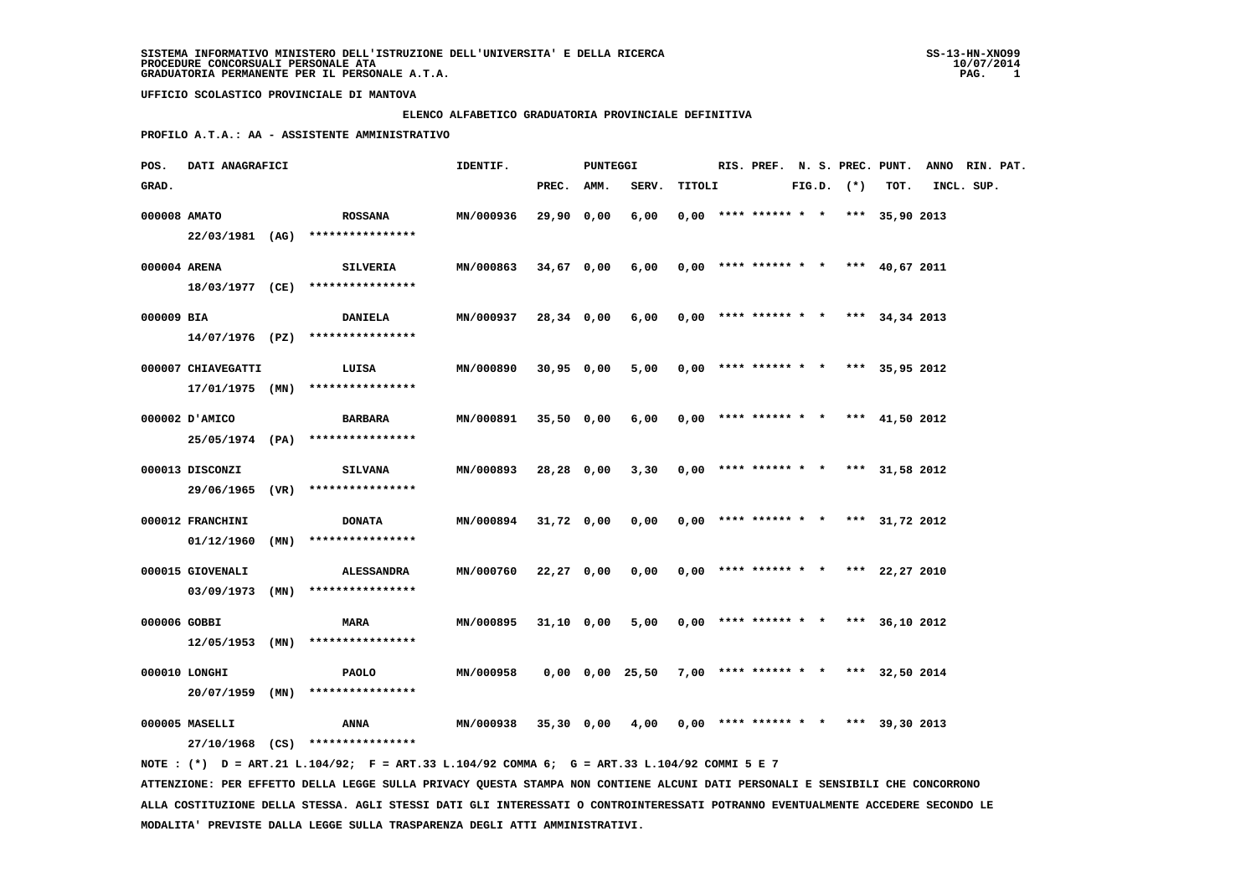#### **ELENCO ALFABETICO GRADUATORIA PROVINCIALE DEFINITIVA**

 **PROFILO A.T.A.: AA - ASSISTENTE AMMINISTRATIVO**

| POS.       | DATI ANAGRAFICI                  |                                                                                                                                 | IDENTIF.         |              | <b>PUNTEGGI</b> |                 |        |                        |  |                |                                       | RIS. PREF. N. S. PREC. PUNT. ANNO RIN. PAT. |            |  |
|------------|----------------------------------|---------------------------------------------------------------------------------------------------------------------------------|------------------|--------------|-----------------|-----------------|--------|------------------------|--|----------------|---------------------------------------|---------------------------------------------|------------|--|
| GRAD.      |                                  |                                                                                                                                 |                  | PREC.        | AMM.            | SERV.           | TITOLI |                        |  | $FIG.D.$ $(*)$ | TOT.                                  |                                             | INCL. SUP. |  |
|            | 000008 AMATO                     | <b>ROSSANA</b>                                                                                                                  | MN/000936        | 29,90 0,00   |                 | 6,00            |        |                        |  |                | $0,00$ **** ****** * * *** 35,90 2013 |                                             |            |  |
|            |                                  | 22/03/1981 (AG) ****************                                                                                                |                  |              |                 |                 |        |                        |  |                |                                       |                                             |            |  |
|            | 000004 ARENA                     | <b>SILVERIA</b>                                                                                                                 | MN/000863        | 34,67 0,00   |                 | 6,00            |        |                        |  |                | $0,00$ **** ****** * * *** 40,67 2011 |                                             |            |  |
|            |                                  | $18/03/1977$ (CE) *****************                                                                                             |                  |              |                 |                 |        |                        |  |                |                                       |                                             |            |  |
| 000009 BIA |                                  | <b>DANIELA</b>                                                                                                                  | MN/000937        | 28,34 0,00   |                 | 6,00            |        |                        |  |                | $0,00$ **** ****** * * *** 34,34 2013 |                                             |            |  |
|            |                                  | $14/07/1976$ (PZ) *****************                                                                                             |                  |              |                 |                 |        |                        |  |                |                                       |                                             |            |  |
|            | 000007 CHIAVEGATTI               | LUISA                                                                                                                           | MN/000890        | 30,95 0,00   |                 | 5,00            |        |                        |  |                | $0,00$ **** ****** * * *** 35,95 2012 |                                             |            |  |
|            |                                  | $17/01/1975$ (MN) ****************                                                                                              |                  |              |                 |                 |        |                        |  |                |                                       |                                             |            |  |
|            | 000002 D'AMICO                   | BARBARA                                                                                                                         | MN/000891        | $35,50$ 0,00 |                 | 6,00            |        |                        |  |                | $0,00$ **** ****** * * *** 41,50 2012 |                                             |            |  |
|            |                                  | 25/05/1974 (PA) ****************                                                                                                |                  |              |                 |                 |        |                        |  |                |                                       |                                             |            |  |
|            | 000013 DISCONZI                  | <b>SILVANA</b>                                                                                                                  | MN/000893        | 28,28 0,00   |                 | 3,30            |        | $0,00$ **** ****** * * |  |                | *** 31,58 2012                        |                                             |            |  |
|            |                                  | 29/06/1965 (VR) ****************                                                                                                |                  |              |                 |                 |        |                        |  |                |                                       |                                             |            |  |
|            | 000012 FRANCHINI                 | <b>DONATA</b>                                                                                                                   | <b>MN/000894</b> | 31,72 0,00   |                 | 0,00            |        |                        |  |                | $0,00$ **** ****** * * *** 31,72 2012 |                                             |            |  |
|            | 01/12/1960 (MN)                  | ****************                                                                                                                |                  |              |                 |                 |        |                        |  |                |                                       |                                             |            |  |
|            | 000015 GIOVENALI                 | <b>ALESSANDRA</b>                                                                                                               | MN/000760        | 22,27 0,00   |                 | 0,00            |        |                        |  |                | $0,00$ **** ****** * * *** 22,27 2010 |                                             |            |  |
|            |                                  | $03/09/1973$ (MN) ****************                                                                                              |                  |              |                 |                 |        |                        |  |                |                                       |                                             |            |  |
|            |                                  |                                                                                                                                 |                  |              |                 |                 |        |                        |  |                |                                       |                                             |            |  |
|            | 000006 GOBBI                     | <b>MARA</b><br>$12/05/1953$ (MN) ****************                                                                               | MN/000895        | 31,10 0,00   |                 | 5,00            |        |                        |  |                | $0,00$ **** ****** * * *** 36,10 2012 |                                             |            |  |
|            |                                  |                                                                                                                                 |                  |              |                 |                 |        |                        |  |                |                                       |                                             |            |  |
|            | 000010 LONGHI<br>20/07/1959 (MN) | <b>PAOLO</b><br>****************                                                                                                | MN/000958        |              |                 | 0,00 0,00 25,50 |        |                        |  |                | 7,00 **** ****** * * *** 32,50 2014   |                                             |            |  |
|            |                                  |                                                                                                                                 |                  |              |                 |                 |        |                        |  |                |                                       |                                             |            |  |
|            | 000005 MASELLI                   | ANNA                                                                                                                            | MN/000938        | 35,30 0,00   |                 | 4,00            |        |                        |  |                | $0,00$ **** ****** * * *** 39,30 2013 |                                             |            |  |
|            |                                  | 27/10/1968 (CS) ****************<br>NOTE: (*) D = ART.21 L.104/92; F = ART.33 L.104/92 COMMA 6; G = ART.33 L.104/92 COMMI 5 E 7 |                  |              |                 |                 |        |                        |  |                |                                       |                                             |            |  |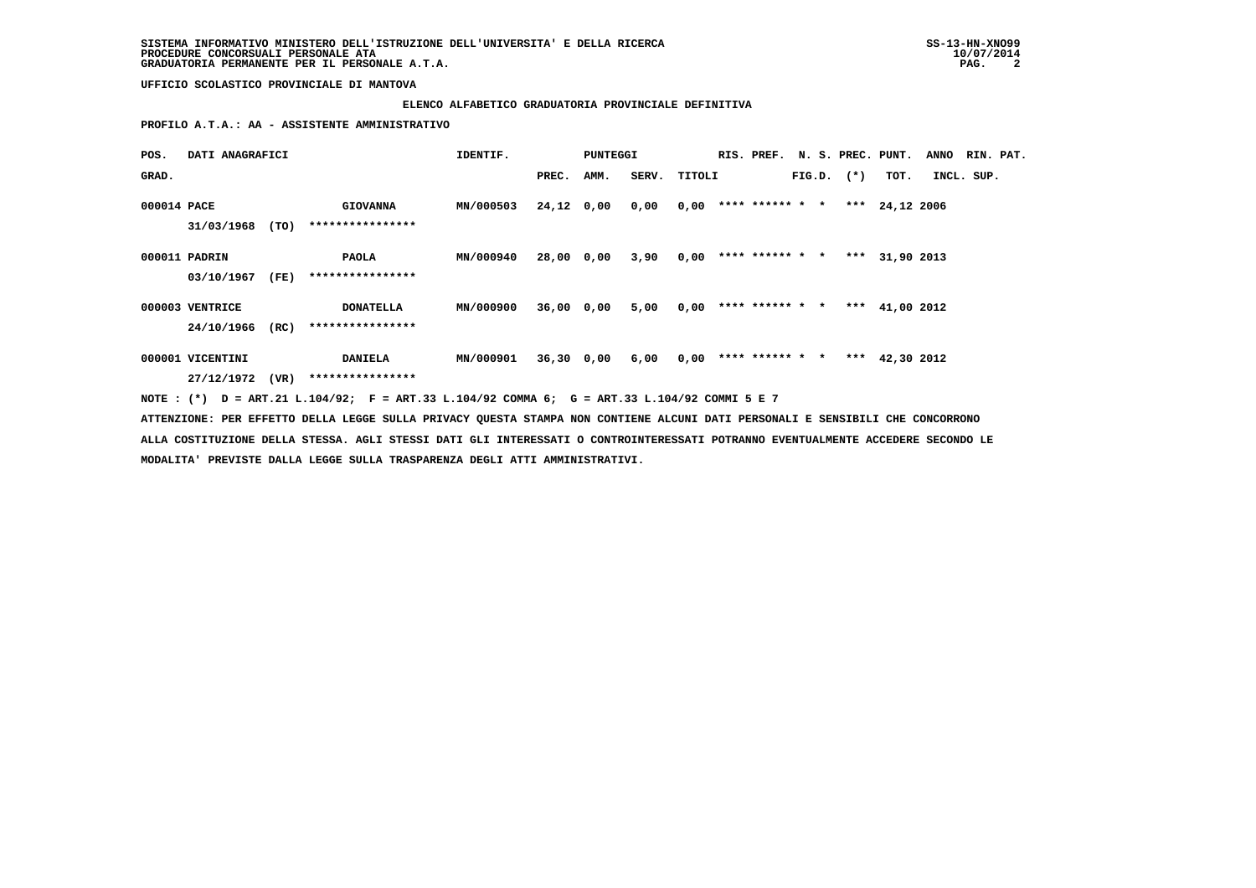# **ELENCO ALFABETICO GRADUATORIA PROVINCIALE DEFINITIVA**

 **PROFILO A.T.A.: AA - ASSISTENTE AMMINISTRATIVO**

| POS.        | DATI ANAGRAFICI                     |      |                                                                                                                               | IDENTIF.         |            | <b>PUNTEGGI</b> |              |      | RIS. PREF. N. S. PREC. PUNT. |  |                |                  | <b>ANNO</b> | RIN. PAT. |
|-------------|-------------------------------------|------|-------------------------------------------------------------------------------------------------------------------------------|------------------|------------|-----------------|--------------|------|------------------------------|--|----------------|------------------|-------------|-----------|
| GRAD.       |                                     |      |                                                                                                                               |                  | PREC.      | AMM.            | SERV. TITOLI |      |                              |  | $FIG.D.$ $(*)$ | тот.             | INCL. SUP.  |           |
| 000014 PACE | 31/03/1968                          | (TO) | <b>GIOVANNA</b><br>****************                                                                                           | MN/000503        | 24,12 0,00 |                 | 0,00         |      | $0,00$ **** ****** * *       |  |                | *** 24,12 2006   |             |           |
|             | 000011 PADRIN<br>03/10/1967         | (FE) | PAOLA<br>****************                                                                                                     | MN/000940        | 28,00 0,00 |                 | 3,90         | 0,00 | **** ****** * *              |  |                | *** 31,90 2013   |             |           |
|             | 000003 VENTRICE<br>24/10/1966       | (RC) | <b>DONATELLA</b><br>****************                                                                                          | MN/000900        | 36,00 0,00 |                 | 5,00         | 0,00 | **** ****** * *              |  |                | *** $41,00$ 2012 |             |           |
|             | 000001 VICENTINI<br>27/12/1972 (VR) |      | <b>DANIELA</b><br>****************                                                                                            | <b>MN/000901</b> |            | 36,30 0,00      | 6,00         |      | $0,00$ **** ****** * *       |  |                | *** $42,30$ 2012 |             |           |
|             |                                     |      | NOTE: (*) D = ART.21 L.104/92; F = ART.33 L.104/92 COMMA 6; G = ART.33 L.104/92 COMMI 5 E 7                                   |                  |            |                 |              |      |                              |  |                |                  |             |           |
|             |                                     |      | ATTENZIONE: PER EFFETTO DELLA LEGGE SULLA PRIVACY QUESTA STAMPA NON CONTIENE ALCUNI DATI PERSONALI E SENSIBILI CHE CONCORRONO |                  |            |                 |              |      |                              |  |                |                  |             |           |

 **ALLA COSTITUZIONE DELLA STESSA. AGLI STESSI DATI GLI INTERESSATI O CONTROINTERESSATI POTRANNO EVENTUALMENTE ACCEDERE SECONDO LE MODALITA' PREVISTE DALLA LEGGE SULLA TRASPARENZA DEGLI ATTI AMMINISTRATIVI.**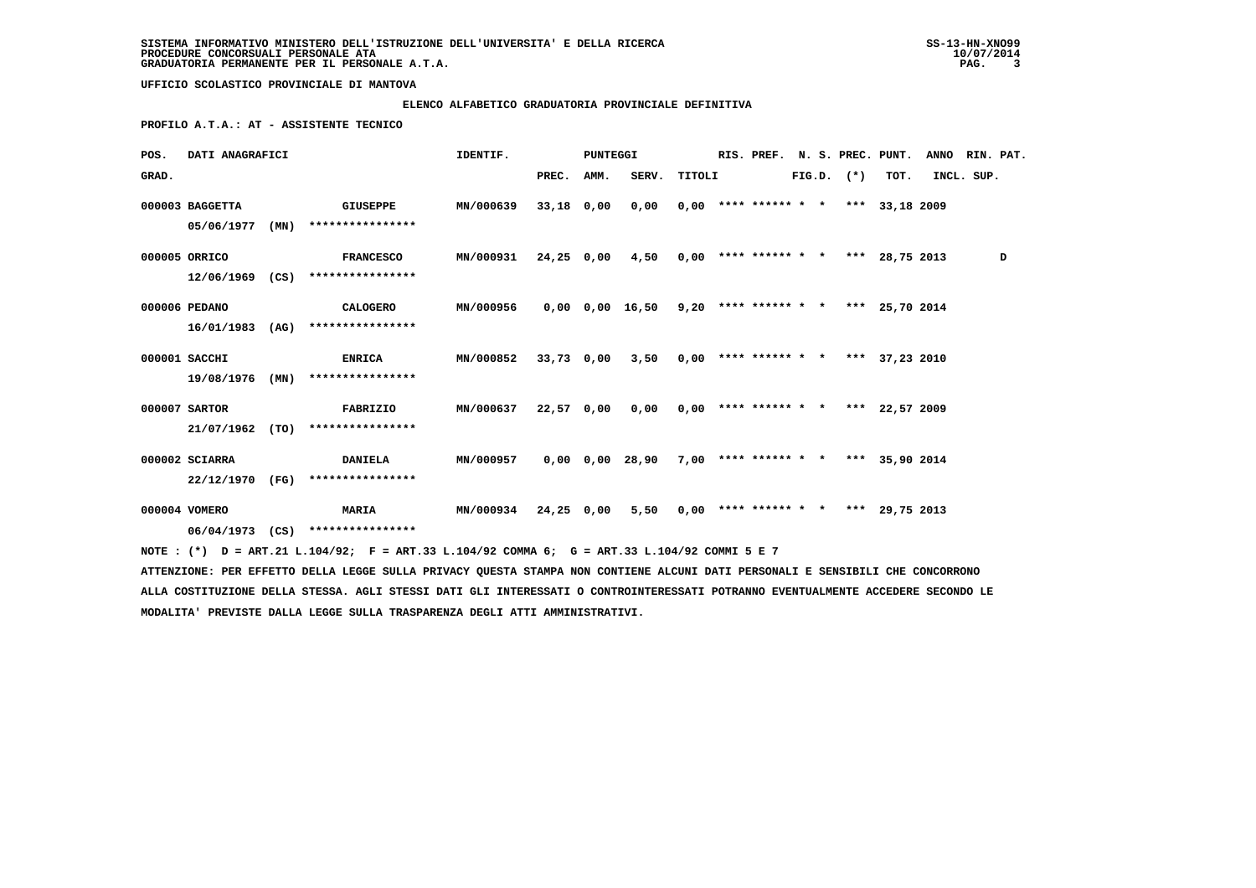## **ELENCO ALFABETICO GRADUATORIA PROVINCIALE DEFINITIVA**

 **PROFILO A.T.A.: AT - ASSISTENTE TECNICO**

| POS.  | DATI ANAGRAFICI |      |                                                                                                                                 | IDENTIF.         |            | PUNTEGGI<br>RIS. PREF. |                                                           |        |  |  |  | N. S. PREC. PUNT. |                                       | <b>ANNO</b> | RIN. PAT. |   |
|-------|-----------------|------|---------------------------------------------------------------------------------------------------------------------------------|------------------|------------|------------------------|-----------------------------------------------------------|--------|--|--|--|-------------------|---------------------------------------|-------------|-----------|---|
| GRAD. |                 |      |                                                                                                                                 |                  | PREC.      | AMM.                   | SERV.                                                     | TITOLI |  |  |  | $FIG.D.$ $(*)$    | TOT.                                  | INCL. SUP.  |           |   |
|       | 000003 BAGGETTA |      | <b>GIUSEPPE</b>                                                                                                                 | <b>MN/000639</b> | 33,18 0,00 |                        | 0,00                                                      |        |  |  |  |                   | $0,00$ **** ****** * * *** 33,18 2009 |             |           |   |
|       | 05/06/1977      | (MN) | ****************                                                                                                                |                  |            |                        |                                                           |        |  |  |  |                   |                                       |             |           |   |
|       | 000005 ORRICO   |      | <b>FRANCESCO</b>                                                                                                                | MN/000931        | 24,25 0,00 |                        | $4,50$ 0,00 **** ****** * * *** 28,75 2013                |        |  |  |  |                   |                                       |             |           | D |
|       | 12/06/1969 (CS) |      | ****************                                                                                                                |                  |            |                        |                                                           |        |  |  |  |                   |                                       |             |           |   |
|       | 000006 PEDANO   |      | CALOGERO                                                                                                                        | MN/000956        |            |                        | $0,00$ $0,00$ $16,50$ $9,20$ **** ****** * *** 25,70 2014 |        |  |  |  |                   |                                       |             |           |   |
|       | 16/01/1983      |      | $(AG)$ *****************                                                                                                        |                  |            |                        |                                                           |        |  |  |  |                   |                                       |             |           |   |
|       | 000001 SACCHI   |      | <b>ENRICA</b>                                                                                                                   | <b>MN/000852</b> | 33,73 0,00 |                        | $3,50$ 0,00 **** ****** * * *** 37,23 2010                |        |  |  |  |                   |                                       |             |           |   |
|       | 19/08/1976      | (MN) | ****************                                                                                                                |                  |            |                        |                                                           |        |  |  |  |                   |                                       |             |           |   |
|       | 000007 SARTOR   |      | FABRIZIO                                                                                                                        | MN/000637        | 22,57 0,00 |                        | 0,00                                                      |        |  |  |  |                   | $0,00$ **** ****** * * *** 22,57 2009 |             |           |   |
|       | 21/07/1962      | (TO) | ****************                                                                                                                |                  |            |                        |                                                           |        |  |  |  |                   |                                       |             |           |   |
|       | 000002 SCIARRA  |      | <b>DANIELA</b>                                                                                                                  | <b>MN/000957</b> |            |                        | 0,00 0,00 28,90                                           |        |  |  |  |                   | $7,00$ **** ****** * * *** 35,90 2014 |             |           |   |
|       | 22/12/1970 (FG) |      | ****************                                                                                                                |                  |            |                        |                                                           |        |  |  |  |                   |                                       |             |           |   |
|       | 000004 VOMERO   |      | <b>MARIA</b>                                                                                                                    | <b>MN/000934</b> | 24,25 0,00 |                        | 5,50                                                      |        |  |  |  |                   | $0,00$ **** ****** * * *** 29,75 2013 |             |           |   |
|       |                 |      | 06/04/1973 (CS) ****************                                                                                                |                  |            |                        |                                                           |        |  |  |  |                   |                                       |             |           |   |
|       |                 |      | NOTE: (*) D = ART.21 L.104/92; F = ART.33 L.104/92 COMMA 6; G = ART.33 L.104/92 COMMI 5 E 7                                     |                  |            |                        |                                                           |        |  |  |  |                   |                                       |             |           |   |
|       |                 |      | ATTENZIONE: PER EFFETTO DELLA LEGGE SULLA PRIVACY QUESTA STAMPA NON CONTIENE ALCUNI DATI PERSONALI E SENSIBILI CHE CONCORRONO   |                  |            |                        |                                                           |        |  |  |  |                   |                                       |             |           |   |
|       |                 |      | ALLA COSTITUZIONE DELLA STESSA. AGLI STESSI DATI GLI INTERESSATI O CONTROINTERESSATI POTRANNO EVENTUALMENTE ACCEDERE SECONDO LE |                  |            |                        |                                                           |        |  |  |  |                   |                                       |             |           |   |

 **MODALITA' PREVISTE DALLA LEGGE SULLA TRASPARENZA DEGLI ATTI AMMINISTRATIVI.**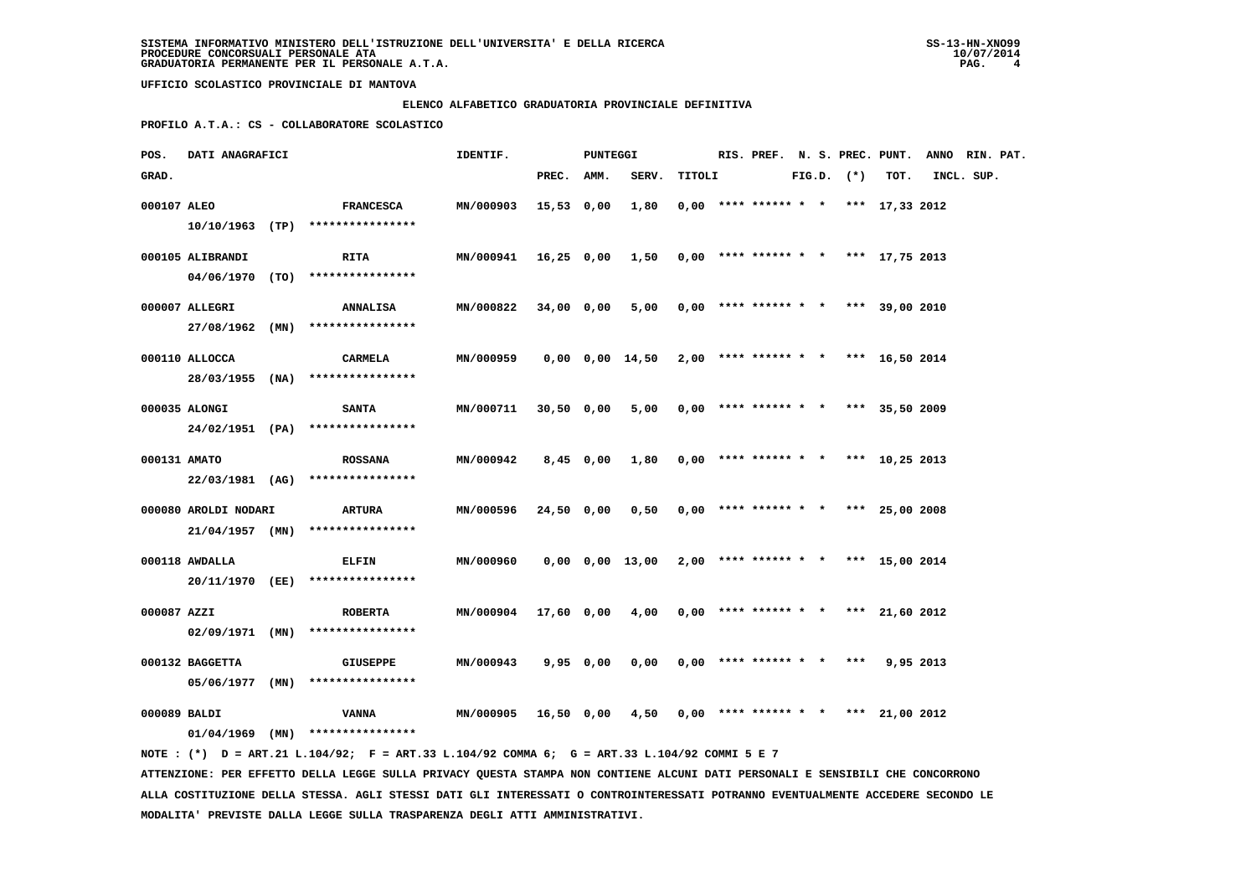### **ELENCO ALFABETICO GRADUATORIA PROVINCIALE DEFINITIVA**

 **PROFILO A.T.A.: CS - COLLABORATORE SCOLASTICO**

| POS.         | DATI ANAGRAFICI      |                                                                                             | IDENTIF.             |            | PUNTEGGI    |                                                             |        |                                       |  |                |      | RIS. PREF. N. S. PREC. PUNT. ANNO RIN. PAT. |  |
|--------------|----------------------|---------------------------------------------------------------------------------------------|----------------------|------------|-------------|-------------------------------------------------------------|--------|---------------------------------------|--|----------------|------|---------------------------------------------|--|
| GRAD.        |                      |                                                                                             |                      | PREC. AMM. |             | SERV.                                                       | TITOLI |                                       |  | $FIG.D.$ $(*)$ | TOT. | INCL. SUP.                                  |  |
| 000107 ALEO  |                      | <b>FRANCESCA</b>                                                                            | MN/000903            | 15,53 0,00 |             | 1,80                                                        |        | $0,00$ **** ****** * * *** 17,33 2012 |  |                |      |                                             |  |
|              |                      | $10/10/1963$ (TP) *****************                                                         |                      |            |             |                                                             |        |                                       |  |                |      |                                             |  |
|              | 000105 ALIBRANDI     | <b>RITA</b>                                                                                 | <b>MN/000941</b>     |            |             | 16,25 0,00 1,50                                             |        | $0,00$ **** ****** * * *** 17,75 2013 |  |                |      |                                             |  |
|              |                      | 04/06/1970 (TO) ****************                                                            |                      |            |             |                                                             |        |                                       |  |                |      |                                             |  |
|              | 000007 ALLEGRI       | <b>ANNALISA</b>                                                                             | MN/000822            | 34,00 0,00 |             | 5,00                                                        |        | $0.00$ **** ****** * * *** 39.00 2010 |  |                |      |                                             |  |
|              |                      | 27/08/1962 (MN) ****************                                                            |                      |            |             |                                                             |        |                                       |  |                |      |                                             |  |
|              | 000110 ALLOCCA       | CARMELA                                                                                     | MN/000959            |            |             | $0,00$ $0,00$ $14,50$ $2,00$ **** ****** * * *** 16,50 2014 |        |                                       |  |                |      |                                             |  |
|              |                      | 28/03/1955 (NA) ****************                                                            |                      |            |             |                                                             |        |                                       |  |                |      |                                             |  |
|              | 000035 ALONGI        | <b>SANTA</b>                                                                                | MN/000711            | 30,50 0,00 |             | 5,00                                                        |        | $0,00$ **** ****** * * *** 35,50 2009 |  |                |      |                                             |  |
|              |                      | 24/02/1951 (PA) ****************                                                            |                      |            |             |                                                             |        |                                       |  |                |      |                                             |  |
| 000131 AMATO |                      | <b>ROSSANA</b>                                                                              | MN/000942            |            | $8,45$ 0,00 | 1,80                                                        |        | $0,00$ **** ****** * * *** 10,25 2013 |  |                |      |                                             |  |
|              |                      | 22/03/1981 (AG) ****************                                                            |                      |            |             |                                                             |        |                                       |  |                |      |                                             |  |
|              | 000080 AROLDI NODARI | ARTURA                                                                                      | <b>MN/000596</b>     | 24,50 0,00 |             | 0,50                                                        |        | $0,00$ **** ****** * * *** 25,00 2008 |  |                |      |                                             |  |
|              |                      | $21/04/1957$ (MN) ****************                                                          |                      |            |             |                                                             |        |                                       |  |                |      |                                             |  |
|              | 000118 AWDALLA       | <b>ELFIN</b>                                                                                | MN/000960            |            |             | 0,00 0,00 13,00                                             |        | $2,00$ **** ****** * * *** 15,00 2014 |  |                |      |                                             |  |
|              |                      | 20/11/1970 (EE) ****************                                                            |                      |            |             |                                                             |        |                                       |  |                |      |                                             |  |
| 000087 AZZI  |                      | <b>ROBERTA</b>                                                                              | MN/000904 17,60 0,00 |            |             | 4,00                                                        |        | $0,00$ **** ****** * * *** 21,60 2012 |  |                |      |                                             |  |
|              | $02/09/1971$ (MN)    | ****************                                                                            |                      |            |             |                                                             |        |                                       |  |                |      |                                             |  |
|              | 000132 BAGGETTA      | GIUSEPPE                                                                                    | <b>MN/000943</b>     |            | 9,95 0,00   | 0,00                                                        |        | $0.00$ **** ****** * * *** 9.95 2013  |  |                |      |                                             |  |
|              | 05/06/1977 (MN)      | ****************                                                                            |                      |            |             |                                                             |        |                                       |  |                |      |                                             |  |
| 000089 BALDI |                      | VANNA                                                                                       | <b>MN/000905</b>     | 16,50 0,00 |             | 4,50                                                        |        | $0,00$ **** ****** * * *** 21,00 2012 |  |                |      |                                             |  |
|              |                      | $01/04/1969$ (MN) ****************                                                          |                      |            |             |                                                             |        |                                       |  |                |      |                                             |  |
|              |                      | NOTE: (*) D = ART.21 L.104/92; F = ART.33 L.104/92 COMMA 6; G = ART.33 L.104/92 COMMI 5 E 7 |                      |            |             |                                                             |        |                                       |  |                |      |                                             |  |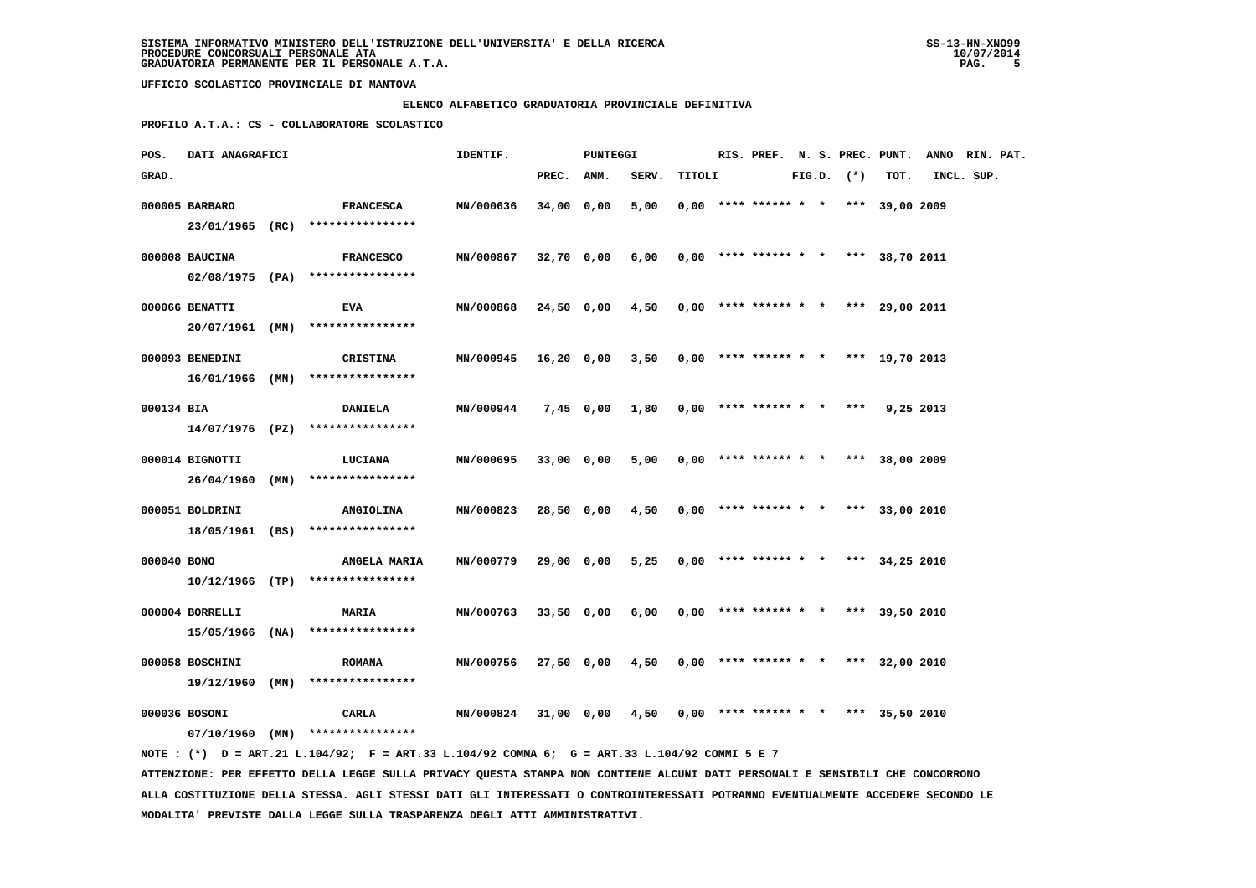### **ELENCO ALFABETICO GRADUATORIA PROVINCIALE DEFINITIVA**

 **PROFILO A.T.A.: CS - COLLABORATORE SCOLASTICO**

| POS.        | DATI ANAGRAFICI                    |                                                                                             | IDENTIF.  |            | PUNTEGGI   |       |        |                                       |  |                |           | RIS. PREF. N. S. PREC. PUNT. ANNO RIN. PAT. |  |
|-------------|------------------------------------|---------------------------------------------------------------------------------------------|-----------|------------|------------|-------|--------|---------------------------------------|--|----------------|-----------|---------------------------------------------|--|
| GRAD.       |                                    |                                                                                             |           | PREC. AMM. |            | SERV. | TITOLI |                                       |  | $FIG.D.$ $(*)$ | TOT.      | INCL. SUP.                                  |  |
|             | 000005 BARBARO                     | <b>FRANCESCA</b><br>23/01/1965 (RC) ****************                                        | MN/000636 | 34,00 0,00 |            | 5,00  |        | $0.00$ **** ****** * * *** 39,00 2009 |  |                |           |                                             |  |
|             | 000008 BAUCINA                     | <b>FRANCESCO</b><br>$02/08/1975$ (PA) ****************                                      | MN/000867 | 32,70 0,00 |            | 6,00  |        | $0,00$ **** ****** * * *** 38,70 2011 |  |                |           |                                             |  |
|             | 000066 BENATTI                     | EVA                                                                                         | MN/000868 |            | 24,50 0,00 | 4,50  |        | $0,00$ **** ****** * * *** 29,00 2011 |  |                |           |                                             |  |
|             | 000093 BENEDINI                    | $20/07/1961$ (MN) *****************<br><b>CRISTINA</b>                                      | MN/000945 | 16,20 0,00 |            | 3,50  |        | $0,00$ **** ****** * * *** 19,70 2013 |  |                |           |                                             |  |
|             | $16/01/1966$ (MN)                  | ****************                                                                            |           |            |            |       |        |                                       |  |                |           |                                             |  |
| 000134 BIA  |                                    | <b>DANIELA</b><br>$14/07/1976$ (PZ) ****************                                        | MN/000944 |            | 7,45 0,00  | 1,80  |        | $0,00$ **** ****** * *                |  | $***$          | 9,25 2013 |                                             |  |
|             | 000014 BIGNOTTI                    | LUCIANA<br>26/04/1960 (MN) ****************                                                 | MN/000695 | 33,00 0,00 |            | 5,00  |        | $0,00$ **** ****** * * *** 38,00 2009 |  |                |           |                                             |  |
|             | 000051 BOLDRINI                    | ANGIOLINA<br>18/05/1961 (BS) ****************                                               | MN/000823 | 28,50 0,00 |            | 4,50  |        | $0,00$ **** ****** * * *** 33,00 2010 |  |                |           |                                             |  |
| 000040 BONO |                                    | ANGELA MARIA<br>$10/12/1966$ (TP) ****************                                          | MN/000779 |            | 29,00 0,00 | 5,25  |        | $0,00$ **** ****** * * *** 34,25 2010 |  |                |           |                                             |  |
|             | 000004 BORRELLI                    | <b>MARIA</b>                                                                                | MN/000763 |            | 33,50 0,00 | 6,00  |        | $0.00$ **** ****** * * *** 39,50 2010 |  |                |           |                                             |  |
|             | 15/05/1966 (NA)<br>000058 BOSCHINI | ****************<br><b>ROMANA</b>                                                           | MN/000756 | 27,50 0,00 |            | 4,50  |        | $0.00$ **** ****** * * *** 32,00 2010 |  |                |           |                                             |  |
|             | $19/12/1960$ (MN)<br>000036 BOSONI | ****************<br>CARLA                                                                   | MN/000824 |            | 31,00 0,00 | 4,50  |        | $0,00$ **** ****** * * *** 35,50 2010 |  |                |           |                                             |  |
|             |                                    | $07/10/1960$ (MN) ****************                                                          |           |            |            |       |        |                                       |  |                |           |                                             |  |
|             |                                    | NOTE: (*) D = ART.21 L.104/92; F = ART.33 L.104/92 COMMA 6; G = ART.33 L.104/92 COMMI 5 E 7 |           |            |            |       |        |                                       |  |                |           |                                             |  |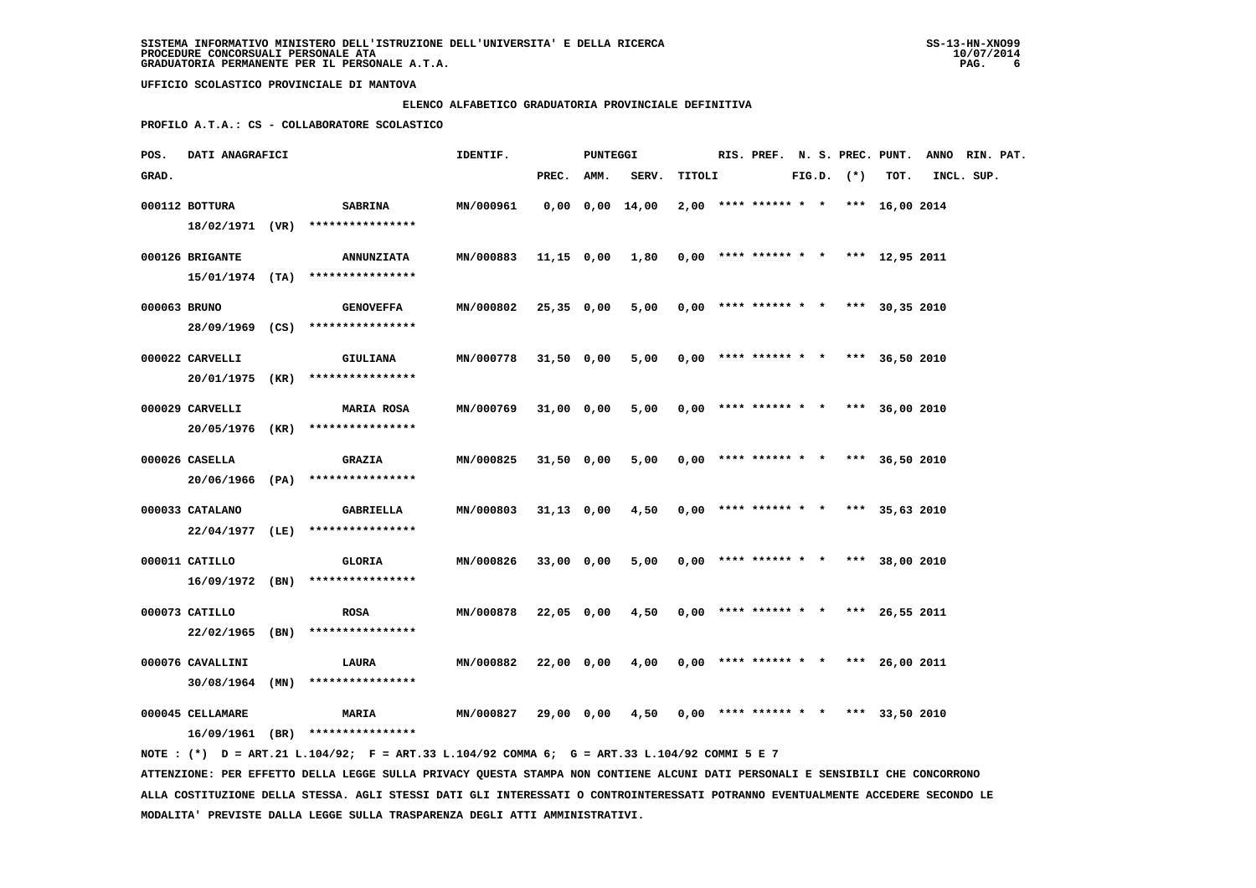### **ELENCO ALFABETICO GRADUATORIA PROVINCIALE DEFINITIVA**

 **PROFILO A.T.A.: CS - COLLABORATORE SCOLASTICO**

| POS.         | DATI ANAGRAFICI   |                                                                                             | IDENTIF.         |              | PUNTEGGI |                       |        |                        |  |                | RIS. PREF. N. S. PREC. PUNT.          | ANNO RIN. PAT. |  |
|--------------|-------------------|---------------------------------------------------------------------------------------------|------------------|--------------|----------|-----------------------|--------|------------------------|--|----------------|---------------------------------------|----------------|--|
| GRAD.        |                   |                                                                                             |                  | PREC.        | AMM.     | SERV.                 | TITOLI |                        |  | $FIG.D.$ $(*)$ | TOT.                                  | INCL. SUP.     |  |
|              | 000112 BOTTURA    | <b>SABRINA</b>                                                                              | MN/000961        |              |          | $0,00$ $0,00$ $14,00$ |        |                        |  |                | $2,00$ **** ****** * * *** 16,00 2014 |                |  |
|              |                   | 18/02/1971 (VR) ****************                                                            |                  |              |          |                       |        |                        |  |                |                                       |                |  |
|              | 000126 BRIGANTE   | <b>ANNUNZIATA</b>                                                                           | MN/000883        | 11,15 0,00   |          | 1,80                  |        |                        |  |                | $0,00$ **** ****** * * *** 12,95 2011 |                |  |
|              |                   | 15/01/1974 (TA) ****************                                                            |                  |              |          |                       |        |                        |  |                |                                       |                |  |
| 000063 BRUNO |                   | <b>GENOVEFFA</b>                                                                            | MN/000802        | 25,35 0,00   |          | 5,00                  |        |                        |  |                | $0,00$ **** ****** * * *** 30,35 2010 |                |  |
|              |                   | 28/09/1969 (CS) ****************                                                            |                  |              |          |                       |        |                        |  |                |                                       |                |  |
|              | 000022 CARVELLI   | <b>GIULIANA</b>                                                                             | MN/000778        | 31,50 0,00   |          | 5,00                  |        |                        |  |                | $0,00$ **** ****** * * *** 36,50 2010 |                |  |
|              | 20/01/1975 (KR)   | ****************                                                                            |                  |              |          |                       |        |                        |  |                |                                       |                |  |
|              | 000029 CARVELLI   | <b>MARIA ROSA</b>                                                                           | MN/000769        | 31,00 0,00   |          | 5,00                  |        | $0,00$ **** ****** * * |  |                | *** 36,00 2010                        |                |  |
|              |                   | 20/05/1976 (KR) ****************                                                            |                  |              |          |                       |        |                        |  |                |                                       |                |  |
|              | 000026 CASELLA    | <b>GRAZIA</b>                                                                               | MN/000825        | 31,50 0,00   |          | 5,00                  |        | $0,00$ **** ****** * * |  |                | *** 36,50 2010                        |                |  |
|              |                   | 20/06/1966 (PA) ****************                                                            |                  |              |          |                       |        |                        |  |                |                                       |                |  |
|              | 000033 CATALANO   | GABRIELLA                                                                                   | MN/000803        | $31,13$ 0,00 |          | 4,50                  |        |                        |  |                | $0,00$ **** ****** * * *** 35,63 2010 |                |  |
|              |                   | 22/04/1977 (LE) ****************                                                            |                  |              |          |                       |        |                        |  |                |                                       |                |  |
|              | 000011 CATILLO    | GLORIA                                                                                      | MN/000826        | 33,00 0,00   |          | 5,00                  |        |                        |  |                | $0,00$ **** ****** * * *** 38,00 2010 |                |  |
|              |                   | 16/09/1972 (BN) ****************                                                            |                  |              |          |                       |        |                        |  |                |                                       |                |  |
|              | 000073 CATILLO    | <b>ROSA</b>                                                                                 | <b>MN/000878</b> | 22,05 0,00   |          | 4,50                  |        |                        |  |                | $0.00$ **** ****** * * *** 26.55 2011 |                |  |
|              | 22/02/1965 (BN)   | ****************                                                                            |                  |              |          |                       |        |                        |  |                |                                       |                |  |
|              | 000076 CAVALLINI  | LAURA                                                                                       | MN/000882        | 22,00 0,00   |          | 4,00                  |        |                        |  |                | $0.00$ **** ****** * * *** 26.00 2011 |                |  |
|              | $30/08/1964$ (MN) | ****************                                                                            |                  |              |          |                       |        |                        |  |                |                                       |                |  |
|              | 000045 CELLAMARE  | <b>MARIA</b>                                                                                | MN/000827        | 29,00 0,00   |          | 4,50                  |        | $0,00$ **** ****** * * |  |                | *** 33,50 2010                        |                |  |
|              |                   | 16/09/1961 (BR) ****************                                                            |                  |              |          |                       |        |                        |  |                |                                       |                |  |
|              |                   | NOTE: (*) D = ART.21 L.104/92; F = ART.33 L.104/92 COMMA 6; G = ART.33 L.104/92 COMMI 5 E 7 |                  |              |          |                       |        |                        |  |                |                                       |                |  |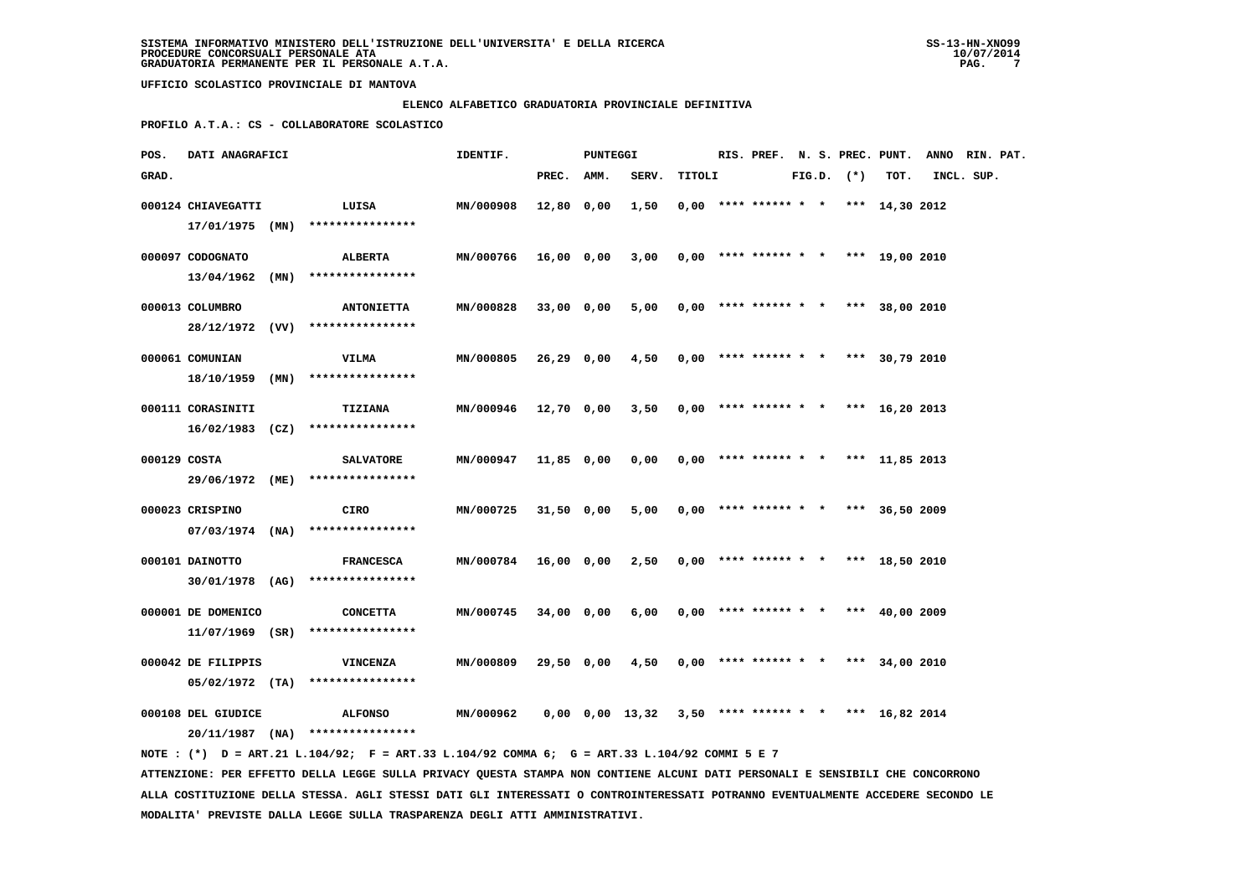### **ELENCO ALFABETICO GRADUATORIA PROVINCIALE DEFINITIVA**

 **PROFILO A.T.A.: CS - COLLABORATORE SCOLASTICO**

| POS.         | DATI ANAGRAFICI    |      |                                                                                             | IDENTIF.  |              | PUNTEGGI |                                                             |        |                        |  |                | RIS. PREF. N. S. PREC. PUNT.          | ANNO RIN. PAT. |  |
|--------------|--------------------|------|---------------------------------------------------------------------------------------------|-----------|--------------|----------|-------------------------------------------------------------|--------|------------------------|--|----------------|---------------------------------------|----------------|--|
| GRAD.        |                    |      |                                                                                             |           | PREC.        | AMM.     | SERV.                                                       | TITOLI |                        |  | $FIG.D.$ $(*)$ | TOT.                                  | INCL. SUP.     |  |
|              | 000124 CHIAVEGATTI |      | LUISA                                                                                       | MN/000908 | 12,80 0,00   |          | 1,50                                                        |        |                        |  |                | $0,00$ **** ****** * * *** 14,30 2012 |                |  |
|              | 17/01/1975 (MN)    |      | ****************                                                                            |           |              |          |                                                             |        |                        |  |                |                                       |                |  |
|              |                    |      |                                                                                             |           |              |          |                                                             |        |                        |  |                |                                       |                |  |
|              | 000097 CODOGNATO   |      | ALBERTA                                                                                     | MN/000766 | 16,00 0,00   |          | 3,00                                                        |        |                        |  |                | $0,00$ **** ****** * * *** 19,00 2010 |                |  |
|              | 13/04/1962         | (MN) | ****************                                                                            |           |              |          |                                                             |        |                        |  |                |                                       |                |  |
|              | 000013 COLUMBRO    |      | <b>ANTONIETTA</b>                                                                           | MN/000828 | 33,00 0,00   |          | 5,00                                                        |        |                        |  |                | $0,00$ **** ****** * * *** 38,00 2010 |                |  |
|              |                    |      | 28/12/1972 (VV) ****************                                                            |           |              |          |                                                             |        |                        |  |                |                                       |                |  |
|              | 000061 COMUNIAN    |      | VILMA                                                                                       | MN/000805 | 26,29 0,00   |          | 4,50                                                        |        |                        |  |                | $0,00$ **** ****** * * *** 30,79 2010 |                |  |
|              | 18/10/1959         | (MN) | ****************                                                                            |           |              |          |                                                             |        |                        |  |                |                                       |                |  |
|              |                    |      |                                                                                             |           |              |          |                                                             |        |                        |  |                |                                       |                |  |
|              | 000111 CORASINITI  |      | <b>TIZIANA</b>                                                                              | MN/000946 | 12,70 0,00   |          | 3,50                                                        |        | $0,00$ **** ****** * * |  |                | *** $16,20$ 2013                      |                |  |
|              |                    |      | $16/02/1983$ (CZ) *****************                                                         |           |              |          |                                                             |        |                        |  |                |                                       |                |  |
| 000129 COSTA |                    |      | <b>SALVATORE</b>                                                                            | MN/000947 | 11,85 0,00   |          | 0,00                                                        |        | $0,00$ **** ****** * * |  |                | *** 11,85 2013                        |                |  |
|              |                    |      | 29/06/1972 (ME) ****************                                                            |           |              |          |                                                             |        |                        |  |                |                                       |                |  |
|              |                    |      |                                                                                             |           |              |          |                                                             |        |                        |  |                |                                       |                |  |
|              | 000023 CRISPINO    |      | CIRO                                                                                        | MN/000725 | $31,50$ 0,00 |          | 5,00                                                        |        |                        |  |                | $0,00$ **** ****** * * *** 36,50 2009 |                |  |
|              |                    |      | $07/03/1974$ (NA) ****************                                                          |           |              |          |                                                             |        |                        |  |                |                                       |                |  |
|              | 000101 DAINOTTO    |      | <b>FRANCESCA</b>                                                                            | MN/000784 | 16,00 0,00   |          | 2,50                                                        |        |                        |  |                | $0,00$ **** ****** * * *** 18,50 2010 |                |  |
|              |                    |      | 30/01/1978 (AG) ****************                                                            |           |              |          |                                                             |        |                        |  |                |                                       |                |  |
|              |                    |      |                                                                                             |           |              |          |                                                             |        |                        |  |                |                                       |                |  |
|              | 000001 DE DOMENICO |      | <b>CONCETTA</b>                                                                             | MN/000745 | 34,00 0,00   |          | 6,00                                                        |        |                        |  |                | $0,00$ **** ****** * * *** 40,00 2009 |                |  |
|              | $11/07/1969$ (SR)  |      | ****************                                                                            |           |              |          |                                                             |        |                        |  |                |                                       |                |  |
|              | 000042 DE FILIPPIS |      | VINCENZA                                                                                    | MN/000809 | 29,50 0,00   |          | 4,50                                                        |        |                        |  |                | $0.00$ **** ****** * * *** 34,00 2010 |                |  |
|              | $05/02/1972$ (TA)  |      | ****************                                                                            |           |              |          |                                                             |        |                        |  |                |                                       |                |  |
|              |                    |      |                                                                                             |           |              |          |                                                             |        |                        |  |                |                                       |                |  |
|              | 000108 DEL GIUDICE |      | <b>ALFONSO</b>                                                                              | MN/000962 |              |          | $0,00$ $0,00$ $13,32$ $3,50$ **** ****** * * *** 16,82 2014 |        |                        |  |                |                                       |                |  |
|              |                    |      | $20/11/1987$ (NA) ****************                                                          |           |              |          |                                                             |        |                        |  |                |                                       |                |  |
|              |                    |      | NOTE: (*) D = ART.21 L.104/92; F = ART.33 L.104/92 COMMA 6; G = ART.33 L.104/92 COMMI 5 E 7 |           |              |          |                                                             |        |                        |  |                |                                       |                |  |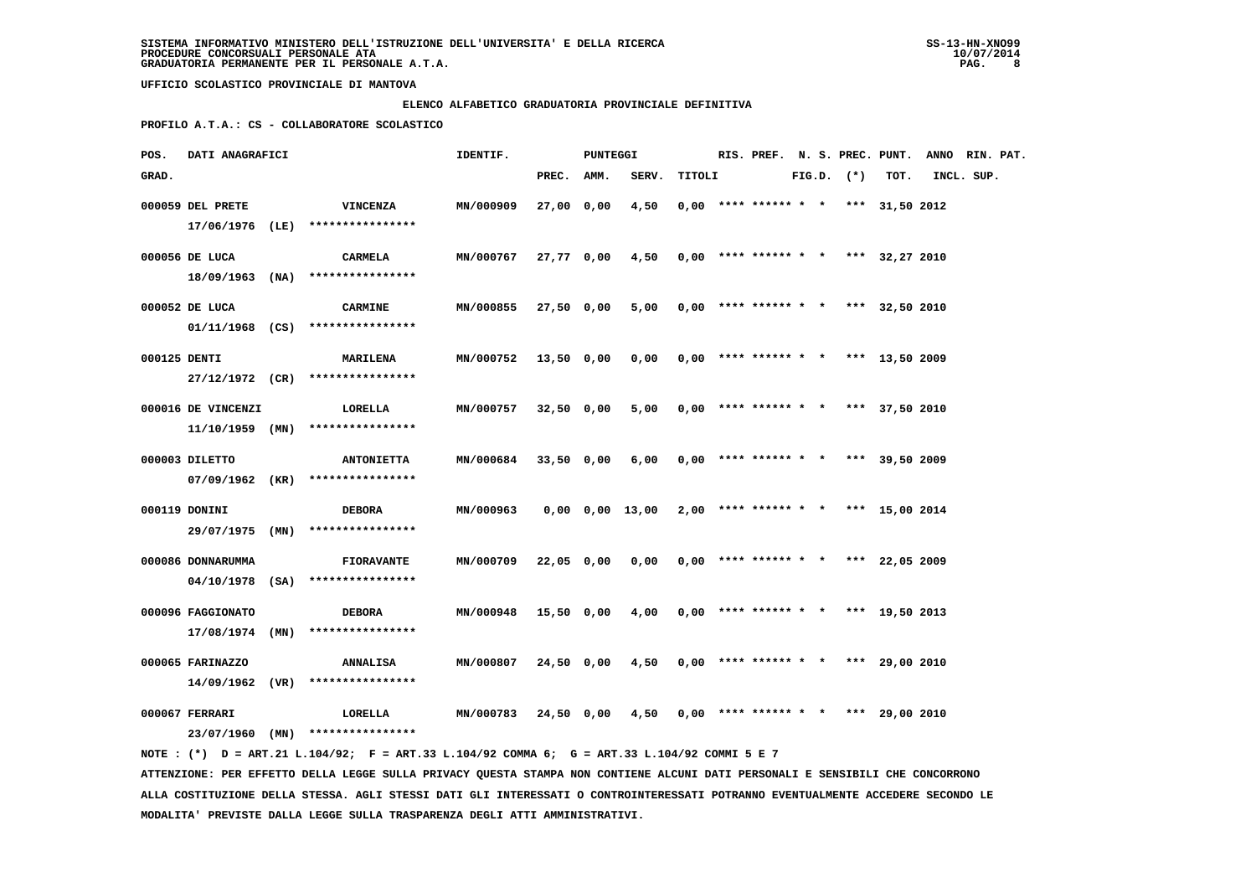### **ELENCO ALFABETICO GRADUATORIA PROVINCIALE DEFINITIVA**

 **PROFILO A.T.A.: CS - COLLABORATORE SCOLASTICO**

| POS.         | DATI ANAGRAFICI                       |                                                                                             | IDENTIF.  |            | PUNTEGGI |                 |        | RIS. PREF. N. S. PREC. PUNT.          |  |                |                | ANNO RIN. PAT. |  |
|--------------|---------------------------------------|---------------------------------------------------------------------------------------------|-----------|------------|----------|-----------------|--------|---------------------------------------|--|----------------|----------------|----------------|--|
| GRAD.        |                                       |                                                                                             |           | PREC.      | AMM.     | SERV.           | TITOLI |                                       |  | $FIG.D.$ $(*)$ | TOT.           | INCL. SUP.     |  |
|              | 000059 DEL PRETE                      | <b>VINCENZA</b>                                                                             | MN/000909 | 27,00 0,00 |          | 4,50            |        | $0,00$ **** ****** * * *** 31,50 2012 |  |                |                |                |  |
|              |                                       | 17/06/1976 (LE) ****************                                                            |           |            |          |                 |        |                                       |  |                |                |                |  |
|              | 000056 DE LUCA                        | <b>CARMELA</b>                                                                              | MN/000767 | 27,77 0,00 |          | 4,50            |        | $0,00$ **** ****** * * *** 32,27 2010 |  |                |                |                |  |
|              |                                       | $18/09/1963$ (NA) ****************                                                          |           |            |          |                 |        |                                       |  |                |                |                |  |
|              | 000052 DE LUCA                        | <b>CARMINE</b>                                                                              | MN/000855 | 27,50 0,00 |          | 5,00            |        | $0,00$ **** ****** * * *** 32,50 2010 |  |                |                |                |  |
|              |                                       | $01/11/1968$ (CS) ****************                                                          |           |            |          |                 |        |                                       |  |                |                |                |  |
| 000125 DENTI |                                       | <b>MARILENA</b>                                                                             | MN/000752 | 13,50 0,00 |          | 0,00            |        | $0,00$ **** ****** * * *** 13,50 2009 |  |                |                |                |  |
|              |                                       | 27/12/1972 (CR) ****************                                                            |           |            |          |                 |        |                                       |  |                |                |                |  |
|              |                                       |                                                                                             |           |            |          |                 |        |                                       |  |                |                |                |  |
|              | 000016 DE VINCENZI<br>11/10/1959 (MN) | LORELLA<br>****************                                                                 | MN/000757 | 32,50 0,00 |          | 5,00            |        | $0,00$ **** ****** * * *** 37,50 2010 |  |                |                |                |  |
|              |                                       |                                                                                             |           |            |          |                 |        |                                       |  |                |                |                |  |
|              | 000003 DILETTO                        | <b>ANTONIETTA</b>                                                                           | MN/000684 | 33,50 0,00 |          | 6,00            |        | $0,00$ **** ****** * *                |  |                | *** 39,50 2009 |                |  |
|              |                                       | 07/09/1962 (KR) ****************                                                            |           |            |          |                 |        |                                       |  |                |                |                |  |
|              | 000119 DONINI                         | <b>DEBORA</b>                                                                               | MN/000963 |            |          | 0,00 0,00 13,00 |        | $2,00$ **** ****** * * *** 15,00 2014 |  |                |                |                |  |
|              |                                       | 29/07/1975 (MN) ****************                                                            |           |            |          |                 |        |                                       |  |                |                |                |  |
|              | 000086 DONNARUMMA                     | <b>FIORAVANTE</b>                                                                           | MN/000709 | 22,05 0,00 |          | 0,00            |        | $0,00$ **** ****** * * *** 22,05 2009 |  |                |                |                |  |
|              |                                       | 04/10/1978 (SA) ****************                                                            |           |            |          |                 |        |                                       |  |                |                |                |  |
|              |                                       |                                                                                             |           |            |          |                 |        |                                       |  |                |                |                |  |
|              | 000096 FAGGIONATO<br>17/08/1974 (MN)  | <b>DEBORA</b><br>****************                                                           | MN/000948 | 15,50 0,00 |          | 4,00            |        | $0,00$ **** ****** * * *** 19,50 2013 |  |                |                |                |  |
|              |                                       |                                                                                             |           |            |          |                 |        |                                       |  |                |                |                |  |
|              | 000065 FARINAZZO                      | <b>ANNALISA</b>                                                                             | MN/000807 | 24,50 0,00 |          | 4,50            |        | $0,00$ **** ****** * * *** 29,00 2010 |  |                |                |                |  |
|              | 14/09/1962 (VR)                       | ****************                                                                            |           |            |          |                 |        |                                       |  |                |                |                |  |
|              | 000067 FERRARI                        | LORELLA                                                                                     | MN/000783 | 24,50 0,00 |          | 4,50            |        | $0,00$ **** ****** * * *** 29,00 2010 |  |                |                |                |  |
|              |                                       | 23/07/1960 (MN) ****************                                                            |           |            |          |                 |        |                                       |  |                |                |                |  |
|              |                                       | NOTE: (*) D = ART.21 L.104/92; F = ART.33 L.104/92 COMMA 6; G = ART.33 L.104/92 COMMI 5 E 7 |           |            |          |                 |        |                                       |  |                |                |                |  |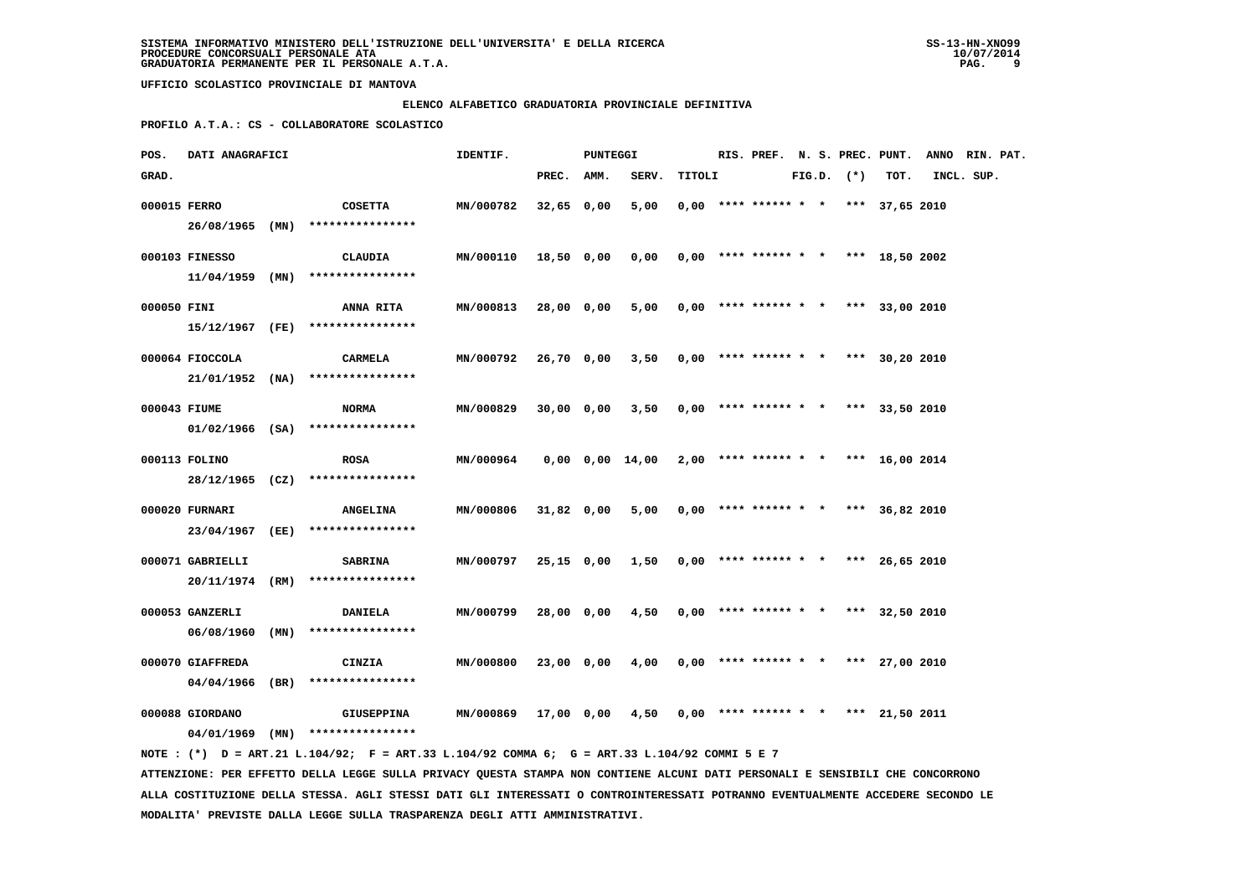### **ELENCO ALFABETICO GRADUATORIA PROVINCIALE DEFINITIVA**

 **PROFILO A.T.A.: CS - COLLABORATORE SCOLASTICO**

| POS.         | DATI ANAGRAFICI  |                                                                                             | IDENTIF.         |              | PUNTEGGI |                                                             |        |  |  |                | RIS. PREF. N. S. PREC. PUNT.          | ANNO RIN. PAT. |  |
|--------------|------------------|---------------------------------------------------------------------------------------------|------------------|--------------|----------|-------------------------------------------------------------|--------|--|--|----------------|---------------------------------------|----------------|--|
| GRAD.        |                  |                                                                                             |                  | PREC. AMM.   |          | SERV.                                                       | TITOLI |  |  | $FIG.D.$ $(*)$ | TOT.                                  | INCL. SUP.     |  |
| 000015 FERRO |                  | <b>COSETTA</b>                                                                              | MN/000782        | $32,65$ 0,00 |          | 5,00                                                        |        |  |  |                | $0,00$ **** ****** * * *** 37,65 2010 |                |  |
|              |                  | 26/08/1965 (MN) ****************                                                            |                  |              |          |                                                             |        |  |  |                |                                       |                |  |
|              | 000103 FINESSO   | CLAUDIA                                                                                     | MN/000110        | 18,50 0,00   |          | 0,00                                                        |        |  |  |                | $0,00$ **** ****** * * *** 18,50 2002 |                |  |
|              | 11/04/1959 (MN)  | ****************                                                                            |                  |              |          |                                                             |        |  |  |                |                                       |                |  |
| 000050 FINI  |                  | <b>ANNA RITA</b>                                                                            | MN/000813        | 28,00 0,00   |          | 5,00                                                        |        |  |  |                | $0,00$ **** ****** * * *** 33,00 2010 |                |  |
|              |                  | 15/12/1967 (FE) ****************                                                            |                  |              |          |                                                             |        |  |  |                |                                       |                |  |
|              | 000064 FIOCCOLA  | CARMELA                                                                                     | MN/000792        | 26,70 0,00   |          | 3,50                                                        |        |  |  |                | $0,00$ **** ****** * * *** 30,20 2010 |                |  |
|              |                  | $21/01/1952$ (NA) ****************                                                          |                  |              |          |                                                             |        |  |  |                |                                       |                |  |
| 000043 FIUME |                  | <b>NORMA</b>                                                                                | MN/000829        | 30,00 0,00   |          | 3,50                                                        |        |  |  |                | $0,00$ **** ****** * * *** 33,50 2010 |                |  |
|              |                  | $01/02/1966$ (SA) ****************                                                          |                  |              |          |                                                             |        |  |  |                |                                       |                |  |
|              | 000113 FOLINO    | <b>ROSA</b>                                                                                 | MN/000964        |              |          | $0,00$ $0,00$ $14,00$ $2,00$ **** ****** * * *** 16,00 2014 |        |  |  |                |                                       |                |  |
|              |                  | 28/12/1965 (CZ) ****************                                                            |                  |              |          |                                                             |        |  |  |                |                                       |                |  |
|              | 000020 FURNARI   | <b>ANGELINA</b>                                                                             | MN/000806        | 31,82 0,00   |          | 5,00                                                        |        |  |  |                | $0,00$ **** ****** * * *** 36,82 2010 |                |  |
|              |                  | 23/04/1967 (EE) ****************                                                            |                  |              |          |                                                             |        |  |  |                |                                       |                |  |
|              | 000071 GABRIELLI | <b>SABRINA</b>                                                                              | MN/000797        | 25,15 0,00   |          | 1,50                                                        |        |  |  |                | $0,00$ **** ****** * * *** 26,65 2010 |                |  |
|              |                  | 20/11/1974 (RM) ****************                                                            |                  |              |          |                                                             |        |  |  |                |                                       |                |  |
|              | 000053 GANZERLI  | DANIELA                                                                                     | MN/000799        | 28,00 0,00   |          | 4,50                                                        |        |  |  |                | $0.00$ **** ****** * * *** 32,50 2010 |                |  |
|              |                  | 06/08/1960 (MN) ****************                                                            |                  |              |          |                                                             |        |  |  |                |                                       |                |  |
|              | 000070 GIAFFREDA | CINZIA                                                                                      | MN/000800        | 23,00 0,00   |          | 4,00                                                        |        |  |  |                | $0,00$ **** ****** * * *** 27,00 2010 |                |  |
|              |                  | $04/04/1966$ (BR) ****************                                                          |                  |              |          |                                                             |        |  |  |                |                                       |                |  |
|              | 000088 GIORDANO  | <b>GIUSEPPINA</b>                                                                           | <b>MN/000869</b> |              |          | $17,00$ 0,00 4,50 0,00 **** ****** * *** 21,50 2011         |        |  |  |                |                                       |                |  |
|              |                  | 04/01/1969 (MN) ****************                                                            |                  |              |          |                                                             |        |  |  |                |                                       |                |  |
|              |                  | NOTE: (*) D = ART.21 L.104/92; F = ART.33 L.104/92 COMMA 6; G = ART.33 L.104/92 COMMI 5 E 7 |                  |              |          |                                                             |        |  |  |                |                                       |                |  |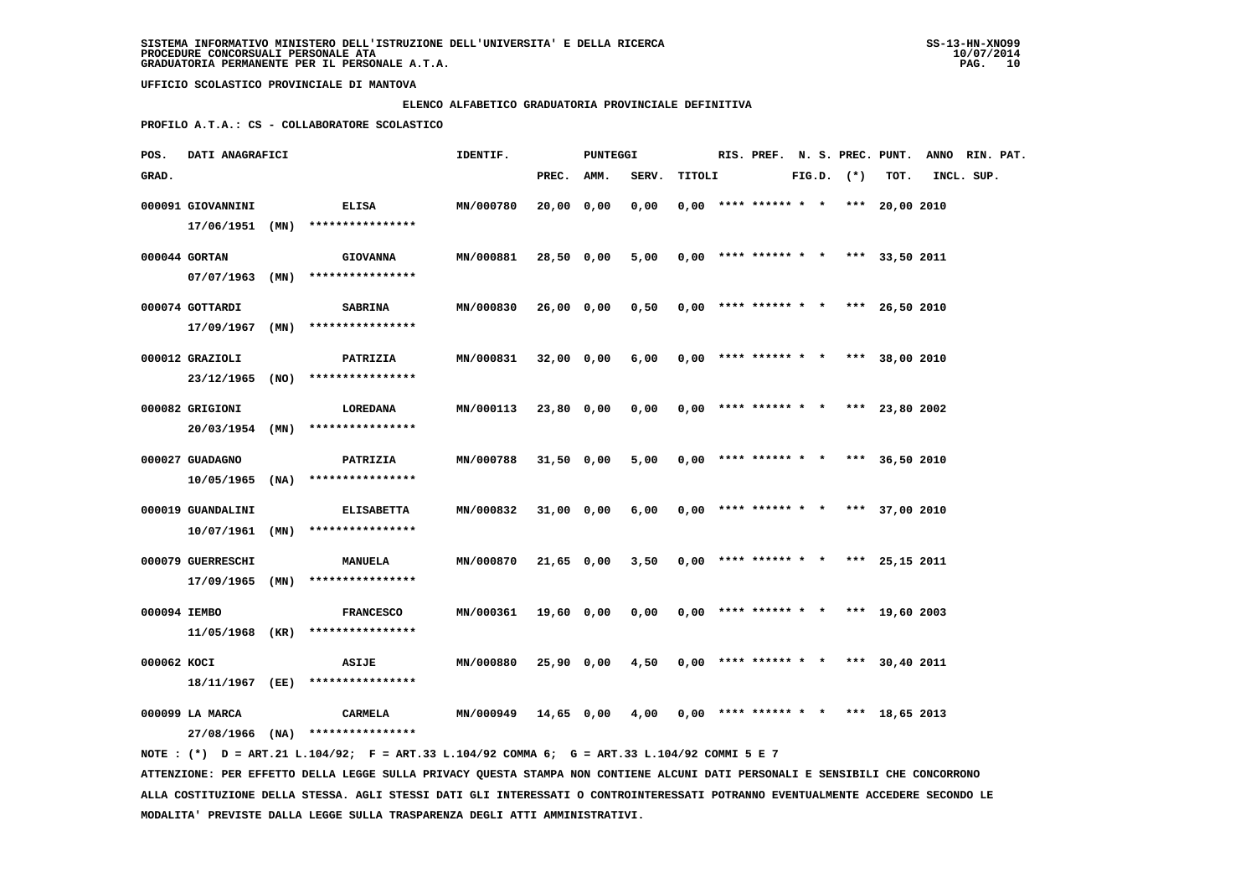### **ELENCO ALFABETICO GRADUATORIA PROVINCIALE DEFINITIVA**

 **PROFILO A.T.A.: CS - COLLABORATORE SCOLASTICO**

| POS.         | DATI ANAGRAFICI                    |      |                                       | IDENTIF.  |              | <b>PUNTEGGI</b> |       |        | RIS. PREF. N. S. PREC. PUNT.          |  |                |                | ANNO RIN. PAT. |  |
|--------------|------------------------------------|------|---------------------------------------|-----------|--------------|-----------------|-------|--------|---------------------------------------|--|----------------|----------------|----------------|--|
| GRAD.        |                                    |      |                                       |           | PREC.        | AMM.            | SERV. | TITOLI |                                       |  | $FIG.D.$ $(*)$ | TOT.           | INCL. SUP.     |  |
|              | 000091 GIOVANNINI<br>17/06/1951    | (MN) | <b>ELISA</b><br>****************      | MN/000780 | 20,00        | 0,00            | 0,00  |        | $0,00$ **** ****** * *                |  | ***            | 20,00 2010     |                |  |
|              | 000044 GORTAN<br>$07/07/1963$ (MN) |      | <b>GIOVANNA</b><br>****************   | MN/000881 | 28,50 0,00   |                 | 5,00  |        | $0,00$ **** ****** * *                |  |                | *** 33,50 2011 |                |  |
|              | 000074 GOTTARDI<br>17/09/1967      | (MN) | <b>SABRINA</b><br>****************    | MN/000830 | 26,00 0,00   |                 | 0,50  |        | $0,00$ **** ****** * *                |  |                | *** 26,50 2010 |                |  |
|              | 000012 GRAZIOLI<br>23/12/1965      | (NO) | PATRIZIA<br>****************          | MN/000831 | $32,00$ 0,00 |                 | 6,00  |        | $0,00$ **** ****** * * *** 38,00 2010 |  |                |                |                |  |
|              | 000082 GRIGIONI<br>20/03/1954 (MN) |      | LOREDANA<br>****************          | MN/000113 | 23,80 0,00   |                 | 0,00  |        | $0.00$ **** ****** * * *** 23,80 2002 |  |                |                |                |  |
|              | 000027 GUADAGNO<br>10/05/1965      | (NA) | PATRIZIA<br>****************          | MN/000788 | $31,50$ 0,00 |                 | 5,00  |        | $0,00$ **** ****** * *                |  |                | *** 36,50 2010 |                |  |
|              | 000019 GUANDALINI<br>10/07/1961    | (MN) | <b>ELISABETTA</b><br>**************** | MN/000832 | 31,00 0,00   |                 | 6,00  |        | $0.00$ **** ****** * *                |  |                | *** 37,00 2010 |                |  |
|              | 000079 GUERRESCHI<br>17/09/1965    | (MN) | <b>MANUELA</b><br>****************    | MN/000870 | 21,65 0,00   |                 | 3,50  |        | $0,00$ **** ****** * *                |  |                | *** 25,15 2011 |                |  |
| 000094 IEMBO | 11/05/1968 (KR)                    |      | <b>FRANCESCO</b><br>****************  | MN/000361 | 19,60 0,00   |                 | 0,00  |        | $0,00$ **** ****** * *                |  |                | *** 19,60 2003 |                |  |
| 000062 KOCI  | 18/11/1967 (EE)                    |      | <b>ASIJE</b><br>****************      | MN/000880 | $25,90$ 0,00 |                 | 4,50  |        | $0,00$ **** ****** * * *** 30,40 2011 |  |                |                |                |  |
|              | 000099 LA MARCA<br>27/08/1966      | (NA) | <b>CARMELA</b><br>****************    | MN/000949 | 14,65 0,00   |                 | 4,00  |        | $0,00$ **** ****** * * *** 18,65 2013 |  |                |                |                |  |

 **NOTE : (\*) D = ART.21 L.104/92; F = ART.33 L.104/92 COMMA 6; G = ART.33 L.104/92 COMMI 5 E 7 ATTENZIONE: PER EFFETTO DELLA LEGGE SULLA PRIVACY QUESTA STAMPA NON CONTIENE ALCUNI DATI PERSONALI E SENSIBILI CHE CONCORRONO ALLA COSTITUZIONE DELLA STESSA. AGLI STESSI DATI GLI INTERESSATI O CONTROINTERESSATI POTRANNO EVENTUALMENTE ACCEDERE SECONDO LE MODALITA' PREVISTE DALLA LEGGE SULLA TRASPARENZA DEGLI ATTI AMMINISTRATIVI.**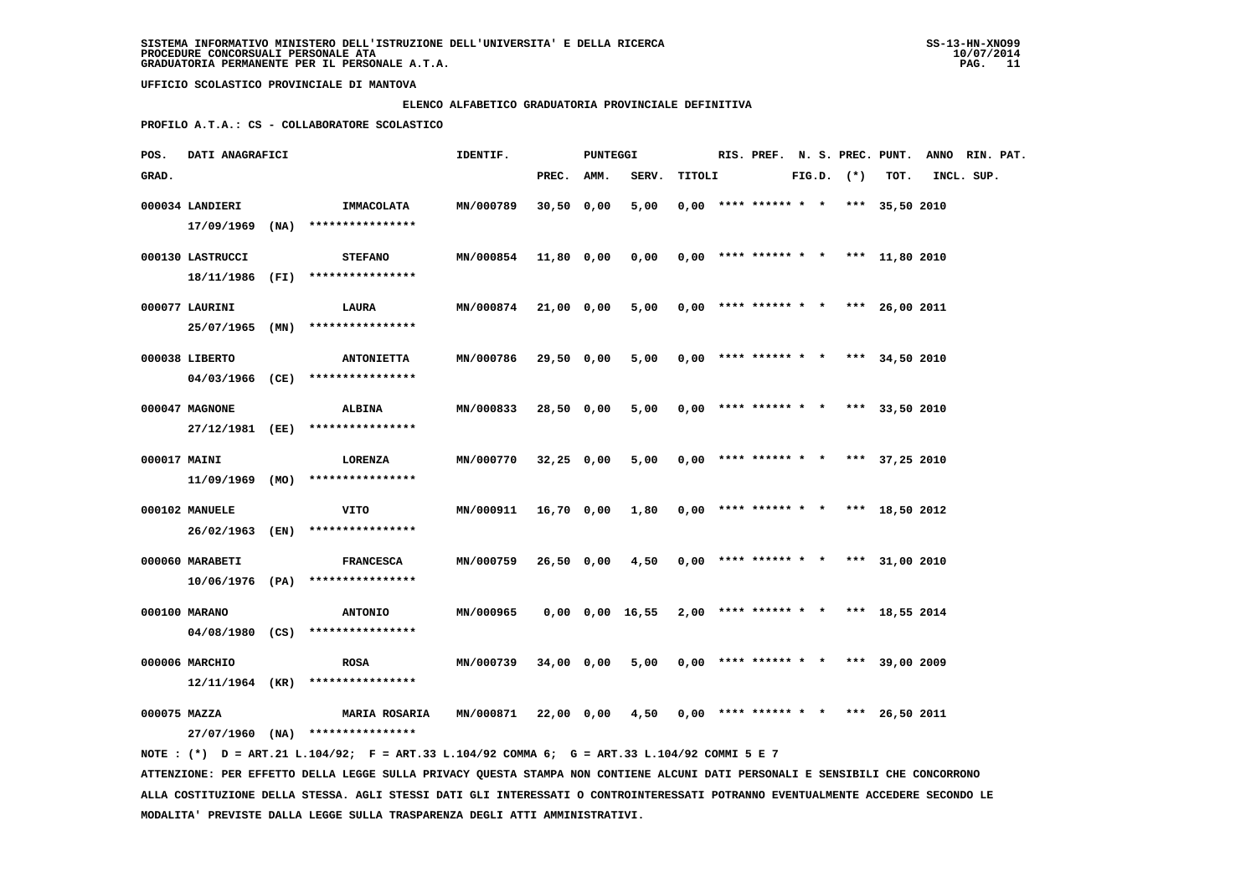### **ELENCO ALFABETICO GRADUATORIA PROVINCIALE DEFINITIVA**

 **PROFILO A.T.A.: CS - COLLABORATORE SCOLASTICO**

| POS.         | DATI ANAGRAFICI                      |                                                                                             | IDENTIF.         |              | PUNTEGGI |                 |        |                                       |  |                |      | RIS. PREF. N. S. PREC. PUNT. ANNO RIN. PAT. |  |
|--------------|--------------------------------------|---------------------------------------------------------------------------------------------|------------------|--------------|----------|-----------------|--------|---------------------------------------|--|----------------|------|---------------------------------------------|--|
| GRAD.        |                                      |                                                                                             |                  | PREC. AMM.   |          | SERV.           | TITOLI |                                       |  | $FIG.D.$ $(*)$ | TOT. | INCL. SUP.                                  |  |
|              | 000034 LANDIERI<br>$17/09/1969$ (NA) | IMMACOLATA<br>****************                                                              | MN/000789        | $30,50$ 0,00 |          | 5,00            |        | $0,00$ **** ****** * * *** 35,50 2010 |  |                |      |                                             |  |
|              | 000130 LASTRUCCI                     | <b>STEFANO</b>                                                                              | <b>MN/000854</b> | 11,80 0,00   |          | 0,00            |        | $0,00$ **** ****** * * *** 11,80 2010 |  |                |      |                                             |  |
|              |                                      | 18/11/1986 (FI) ****************                                                            |                  |              |          |                 |        |                                       |  |                |      |                                             |  |
|              | 000077 LAURINI<br>25/07/1965 (MN)    | LAURA<br>****************                                                                   | <b>MN/000874</b> | 21,00 0,00   |          | 5,00            |        | $0.00$ **** ****** * * *** 26.00 2011 |  |                |      |                                             |  |
|              | 000038 LIBERTO                       | <b>ANTONIETTA</b><br>04/03/1966 (CE) ****************                                       | MN/000786        | 29,50 0,00   |          | 5,00            |        | $0.00$ **** ****** * * *** 34,50 2010 |  |                |      |                                             |  |
|              | 000047 MAGNONE                       | <b>ALBINA</b>                                                                               | MN/000833        | 28,50 0,00   |          | 5,00            |        | $0,00$ **** ****** * * *** 33,50 2010 |  |                |      |                                             |  |
|              |                                      | 27/12/1981 (EE) ****************                                                            |                  |              |          |                 |        |                                       |  |                |      |                                             |  |
| 000017 MAINI |                                      | LORENZA                                                                                     | MN/000770        | $32,25$ 0,00 |          | 5,00            |        | $0,00$ **** ****** * * *** 37,25 2010 |  |                |      |                                             |  |
|              |                                      | 11/09/1969 (MO) ****************                                                            |                  |              |          |                 |        |                                       |  |                |      |                                             |  |
|              | 000102 MANUELE                       | VITO<br>26/02/1963 (EN) ****************                                                    | MN/000911        | 16,70 0,00   |          | 1,80            |        | $0,00$ **** ****** * * *** 18,50 2012 |  |                |      |                                             |  |
|              | 000060 MARABETI                      | <b>FRANCESCA</b>                                                                            | MN/000759        | 26,50 0,00   |          | 4,50            |        | $0,00$ **** ****** * * *** 31,00 2010 |  |                |      |                                             |  |
|              |                                      | $10/06/1976$ (PA) *****************                                                         |                  |              |          |                 |        |                                       |  |                |      |                                             |  |
|              | 000100 MARANO                        | <b>ANTONIO</b>                                                                              | MN/000965        |              |          | 0,00 0,00 16,55 |        | $2,00$ **** ****** * * *** 18,55 2014 |  |                |      |                                             |  |
|              | 04/08/1980 (CS)                      | ****************                                                                            |                  |              |          |                 |        |                                       |  |                |      |                                             |  |
|              | 000006 MARCHIO<br>12/11/1964 (KR)    | <b>ROSA</b><br>****************                                                             | MN/000739        | 34,00 0,00   |          | 5,00            |        | $0.00$ **** ****** * * *** 39,00 2009 |  |                |      |                                             |  |
| 000075 MAZZA |                                      | <b>MARIA ROSARIA</b>                                                                        | MN/000871        | 22,00 0,00   |          | 4,50            |        | $0,00$ **** ****** * * *** 26,50 2011 |  |                |      |                                             |  |
|              |                                      | $27/07/1960$ (NA) ****************                                                          |                  |              |          |                 |        |                                       |  |                |      |                                             |  |
|              |                                      | NOTE: (*) D = ART.21 L.104/92; F = ART.33 L.104/92 COMMA 6; G = ART.33 L.104/92 COMMI 5 E 7 |                  |              |          |                 |        |                                       |  |                |      |                                             |  |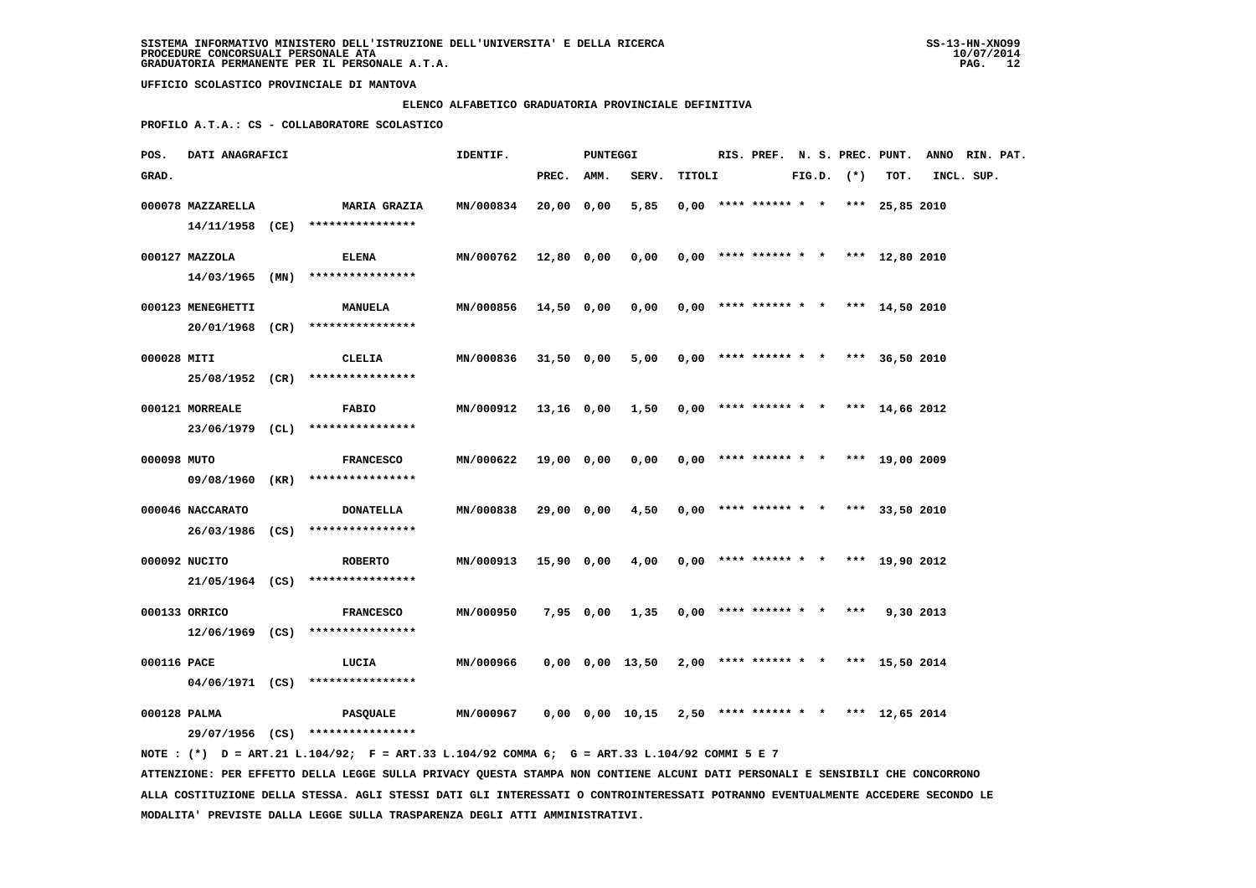### **ELENCO ALFABETICO GRADUATORIA PROVINCIALE DEFINITIVA**

 **PROFILO A.T.A.: CS - COLLABORATORE SCOLASTICO**

|                                                                                                                                                                                                |                                      | IDENTIF.                                                                                                                                                                                                                                                                                                                                                                    |                               |                                                                                               |                                      |                                            |        |  |                                              |                                                                                                                                                                                                                                                                                                                                                                                                                                                         |                                                           |
|------------------------------------------------------------------------------------------------------------------------------------------------------------------------------------------------|--------------------------------------|-----------------------------------------------------------------------------------------------------------------------------------------------------------------------------------------------------------------------------------------------------------------------------------------------------------------------------------------------------------------------------|-------------------------------|-----------------------------------------------------------------------------------------------|--------------------------------------|--------------------------------------------|--------|--|----------------------------------------------|---------------------------------------------------------------------------------------------------------------------------------------------------------------------------------------------------------------------------------------------------------------------------------------------------------------------------------------------------------------------------------------------------------------------------------------------------------|-----------------------------------------------------------|
|                                                                                                                                                                                                |                                      |                                                                                                                                                                                                                                                                                                                                                                             |                               | SERV.                                                                                         |                                      |                                            |        |  | TOT.                                         |                                                                                                                                                                                                                                                                                                                                                                                                                                                         |                                                           |
|                                                                                                                                                                                                | <b>MARIA GRAZIA</b>                  |                                                                                                                                                                                                                                                                                                                                                                             |                               | 5,85                                                                                          |                                      |                                            |        |  |                                              |                                                                                                                                                                                                                                                                                                                                                                                                                                                         |                                                           |
|                                                                                                                                                                                                | <b>ELENA</b><br>****************     | MN/000762                                                                                                                                                                                                                                                                                                                                                                   |                               | 0,00                                                                                          |                                      |                                            |        |  |                                              |                                                                                                                                                                                                                                                                                                                                                                                                                                                         |                                                           |
|                                                                                                                                                                                                | <b>MANUELA</b>                       | MN/000856                                                                                                                                                                                                                                                                                                                                                                   |                               | 0,00                                                                                          |                                      |                                            |        |  |                                              |                                                                                                                                                                                                                                                                                                                                                                                                                                                         |                                                           |
|                                                                                                                                                                                                | CLELIA                               | <b>MN/000836</b>                                                                                                                                                                                                                                                                                                                                                            |                               | 5,00                                                                                          |                                      |                                            |        |  |                                              |                                                                                                                                                                                                                                                                                                                                                                                                                                                         |                                                           |
|                                                                                                                                                                                                | <b>FABIO</b>                         | <b>MN/000912</b>                                                                                                                                                                                                                                                                                                                                                            |                               |                                                                                               |                                      |                                            |        |  |                                              |                                                                                                                                                                                                                                                                                                                                                                                                                                                         |                                                           |
|                                                                                                                                                                                                | <b>FRANCESCO</b>                     | MN/000622                                                                                                                                                                                                                                                                                                                                                                   |                               | 0,00                                                                                          |                                      |                                            |        |  |                                              |                                                                                                                                                                                                                                                                                                                                                                                                                                                         |                                                           |
|                                                                                                                                                                                                | <b>DONATELLA</b>                     | <b>MN/000838</b>                                                                                                                                                                                                                                                                                                                                                            |                               | 4,50                                                                                          |                                      |                                            |        |  |                                              |                                                                                                                                                                                                                                                                                                                                                                                                                                                         |                                                           |
|                                                                                                                                                                                                | <b>ROBERTO</b>                       |                                                                                                                                                                                                                                                                                                                                                                             |                               |                                                                                               |                                      |                                            |        |  |                                              |                                                                                                                                                                                                                                                                                                                                                                                                                                                         |                                                           |
|                                                                                                                                                                                                | <b>FRANCESCO</b>                     | MN/000950                                                                                                                                                                                                                                                                                                                                                                   |                               | 1,35                                                                                          |                                      |                                            |        |  |                                              |                                                                                                                                                                                                                                                                                                                                                                                                                                                         |                                                           |
|                                                                                                                                                                                                | LUCIA                                | MN/000966                                                                                                                                                                                                                                                                                                                                                                   |                               |                                                                                               |                                      |                                            |        |  |                                              |                                                                                                                                                                                                                                                                                                                                                                                                                                                         |                                                           |
|                                                                                                                                                                                                | <b>PASQUALE</b>                      | MN/000967                                                                                                                                                                                                                                                                                                                                                                   |                               |                                                                                               |                                      |                                            |        |  |                                              |                                                                                                                                                                                                                                                                                                                                                                                                                                                         |                                                           |
| 000078 MAZZARELLA<br>000127 MAZZOLA<br>000123 MENEGHETTI<br>000028 MITI<br>000121 MORREALE<br>000098 MUTO<br>000046 NACCARATO<br>000092 NUCITO<br>000133 ORRICO<br>000116 PACE<br>000128 PALMA | DATI ANAGRAFICI<br>$14/03/1965$ (MN) | 14/11/1958 (CE) ****************<br>20/01/1968 (CR) ****************<br>25/08/1952 (CR) ****************<br>23/06/1979 (CL) ****************<br>09/08/1960 (KR) ****************<br>26/03/1986 (CS) ****************<br>$21/05/1964$ (CS) ****************<br>$12/06/1969$ (CS) *****************<br>$04/06/1971$ (CS) ****************<br>29/07/1956 (CS) **************** | MN/000834<br><b>MN/000913</b> | PREC. AMM.<br>20,00 0,00<br>12,80 0,00<br>14,50 0,00<br>19,00 0,00<br>29,00 0,00<br>7,95 0,00 | PUNTEGGI<br>31,50 0,00<br>15,90 0,00 | 13,16 0,00 1,50<br>4,00<br>0,00 0,00 13,50 | TITOLI |  | $FIG.D.$ $(*)$<br>$0,00$ **** ****** * * *** | $0,00$ **** ****** * * *** 25,85 2010<br>$0.00$ **** ****** * * *** 12.80 2010<br>$0,00$ **** ****** * * *** 14,50 2010<br>$0,00$ **** ****** * * *** 36,50 2010<br>$0,00$ **** ****** * * *** 14,66 2012<br>$0,00$ **** ****** * * *** 19,00 2009<br>$0.00$ **** ****** * * *** 33,50 2010<br>$0,00$ **** ****** * * *** 19,90 2012<br>9,30 2013<br>2,00 **** ****** * * *** 15,50 2014<br>$0,00$ $0,00$ $10,15$ $2,50$ **** ****** * * *** 12,65 2014 | RIS. PREF. N. S. PREC. PUNT. ANNO RIN. PAT.<br>INCL. SUP. |

 **NOTE : (\*) D = ART.21 L.104/92; F = ART.33 L.104/92 COMMA 6; G = ART.33 L.104/92 COMMI 5 E 7 ATTENZIONE: PER EFFETTO DELLA LEGGE SULLA PRIVACY QUESTA STAMPA NON CONTIENE ALCUNI DATI PERSONALI E SENSIBILI CHE CONCORRONO ALLA COSTITUZIONE DELLA STESSA. AGLI STESSI DATI GLI INTERESSATI O CONTROINTERESSATI POTRANNO EVENTUALMENTE ACCEDERE SECONDO LE MODALITA' PREVISTE DALLA LEGGE SULLA TRASPARENZA DEGLI ATTI AMMINISTRATIVI.**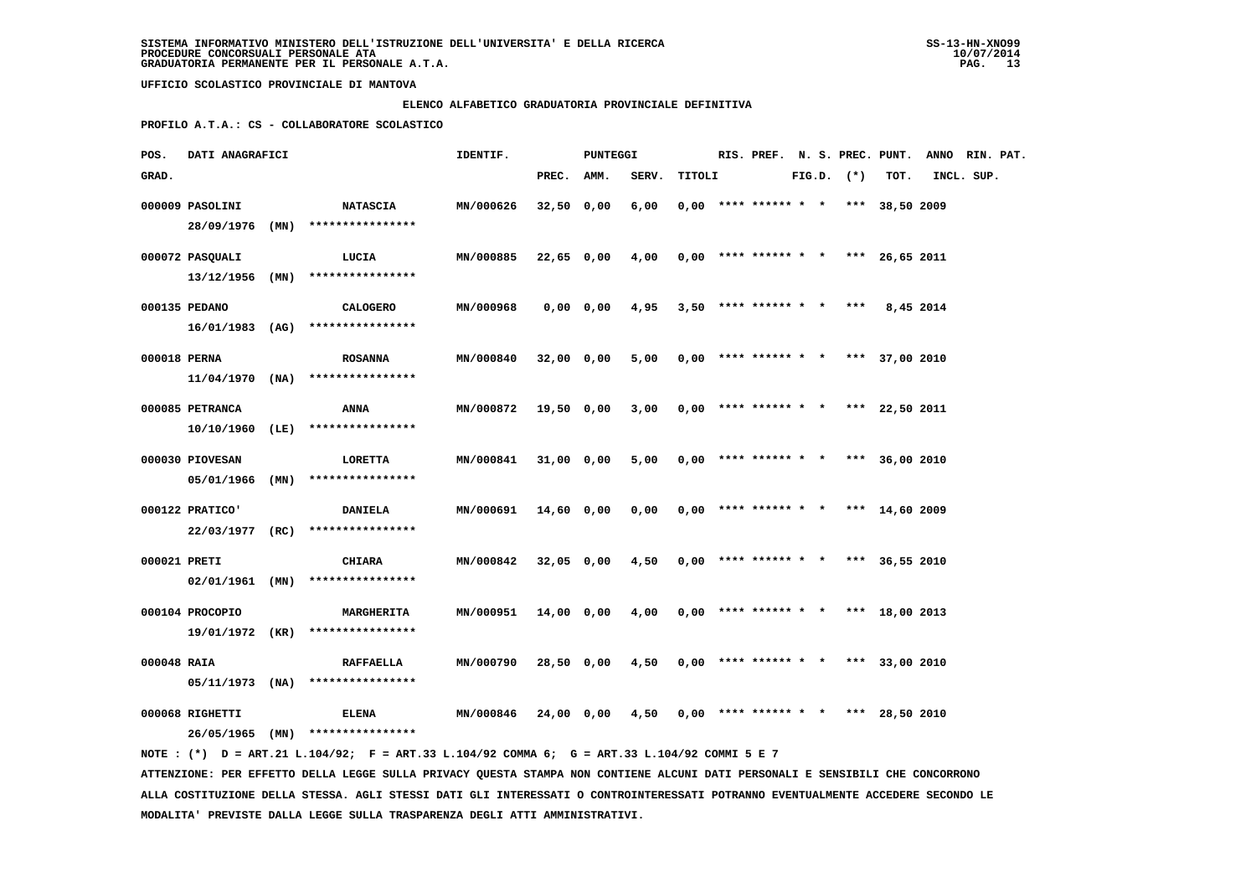#### **ELENCO ALFABETICO GRADUATORIA PROVINCIALE DEFINITIVA**

 **PROFILO A.T.A.: CS - COLLABORATORE SCOLASTICO**

| POS.         | DATI ANAGRAFICI   |  |                                    | IDENTIF.         | PUNTEGGI   |            |                                                       |        |  |                                       | RIS. PREF. N. S. PREC. PUNT. ANNO RIN. PAT. |  |                |                |            |  |
|--------------|-------------------|--|------------------------------------|------------------|------------|------------|-------------------------------------------------------|--------|--|---------------------------------------|---------------------------------------------|--|----------------|----------------|------------|--|
| GRAD.        |                   |  |                                    |                  | PREC. AMM. |            | SERV.                                                 | TITOLI |  |                                       |                                             |  | $FIG.D.$ $(*)$ | TOT.           | INCL. SUP. |  |
|              | 000009 PASOLINI   |  | <b>NATASCIA</b>                    | MN/000626        | 32,50 0,00 |            | 6,00                                                  |        |  | $0.00$ **** ****** * * *** 38,50 2009 |                                             |  |                |                |            |  |
|              |                   |  | 28/09/1976 (MN) ****************   |                  |            |            |                                                       |        |  |                                       |                                             |  |                |                |            |  |
|              | 000072 PASQUALI   |  | LUCIA                              | MN/000885        |            |            | $22,65$ 0,00 4,00 0,00 **** ****** * * *** 26,65 2011 |        |  |                                       |                                             |  |                |                |            |  |
|              | $13/12/1956$ (MN) |  | ****************                   |                  |            |            |                                                       |        |  |                                       |                                             |  |                |                |            |  |
|              | 000135 PEDANO     |  | <b>CALOGERO</b>                    | MN/000968        |            | 0,00 0,00  | 4,95                                                  |        |  | $3,50$ **** ****** * * ***            |                                             |  |                | 8,45 2014      |            |  |
|              |                   |  | $16/01/1983$ (AG) **************** |                  |            |            |                                                       |        |  |                                       |                                             |  |                |                |            |  |
| 000018 PERNA |                   |  | <b>ROSANNA</b>                     | MN/000840        | 32,00 0,00 |            | 5,00                                                  |        |  | $0,00$ **** ****** * * *** 37,00 2010 |                                             |  |                |                |            |  |
|              |                   |  | $11/04/1970$ (NA) **************** |                  |            |            |                                                       |        |  |                                       |                                             |  |                |                |            |  |
|              | 000085 PETRANCA   |  | ANNA                               | MN/000872        | 19,50 0,00 |            | 3,00                                                  |        |  | $0,00$ **** ****** * * *** 22,50 2011 |                                             |  |                |                |            |  |
|              |                   |  | 10/10/1960 (LE) ****************   |                  |            |            |                                                       |        |  |                                       |                                             |  |                |                |            |  |
|              | 000030 PIOVESAN   |  | LORETTA                            | MN/000841        |            | 31,00 0,00 | 5,00                                                  |        |  | $0,00$ **** ****** * * *** 36,00 2010 |                                             |  |                |                |            |  |
|              | 05/01/1966 (MN)   |  | ****************                   |                  |            |            |                                                       |        |  |                                       |                                             |  |                |                |            |  |
|              | 000122 PRATICO'   |  | <b>DANIELA</b>                     | <b>MN/000691</b> |            | 14,60 0,00 | 0,00                                                  |        |  | $0.00$ **** ****** * * *** 14,60 2009 |                                             |  |                |                |            |  |
|              |                   |  | 22/03/1977 (RC) ****************   |                  |            |            |                                                       |        |  |                                       |                                             |  |                |                |            |  |
| 000021 PRETI |                   |  | <b>CHIARA</b>                      | MN/000842        |            | 32,05 0,00 | 4,50                                                  |        |  | $0,00$ **** ****** * * *** 36,55 2010 |                                             |  |                |                |            |  |
|              | 02/01/1961 (MN)   |  | ****************                   |                  |            |            |                                                       |        |  |                                       |                                             |  |                |                |            |  |
|              | 000104 PROCOPIO   |  | <b>MARGHERITA</b>                  | <b>MN/000951</b> |            | 14,00 0,00 | 4,00                                                  |        |  | $0,00$ **** ****** * * *** 18,00 2013 |                                             |  |                |                |            |  |
|              |                   |  | 19/01/1972 (KR) ****************   |                  |            |            |                                                       |        |  |                                       |                                             |  |                |                |            |  |
| 000048 RAIA  |                   |  | <b>RAFFAELLA</b>                   | MN/000790        |            | 28,50 0,00 | $4,50$ 0,00 **** ****** * * *** 33,00 2010            |        |  |                                       |                                             |  |                |                |            |  |
|              |                   |  | $05/11/1973$ (NA) **************** |                  |            |            |                                                       |        |  |                                       |                                             |  |                |                |            |  |
|              | 000068 RIGHETTI   |  | <b>ELENA</b>                       | MN/000846        |            | 24,00 0,00 | 4,50                                                  |        |  | $0,00$ **** ****** * *                |                                             |  |                | *** 28,50 2010 |            |  |
|              |                   |  | 26/05/1965 (MN) ****************   |                  |            |            |                                                       |        |  |                                       |                                             |  |                |                |            |  |

 **NOTE : (\*) D = ART.21 L.104/92; F = ART.33 L.104/92 COMMA 6; G = ART.33 L.104/92 COMMI 5 E 7 ATTENZIONE: PER EFFETTO DELLA LEGGE SULLA PRIVACY QUESTA STAMPA NON CONTIENE ALCUNI DATI PERSONALI E SENSIBILI CHE CONCORRONO ALLA COSTITUZIONE DELLA STESSA. AGLI STESSI DATI GLI INTERESSATI O CONTROINTERESSATI POTRANNO EVENTUALMENTE ACCEDERE SECONDO LE MODALITA' PREVISTE DALLA LEGGE SULLA TRASPARENZA DEGLI ATTI AMMINISTRATIVI.**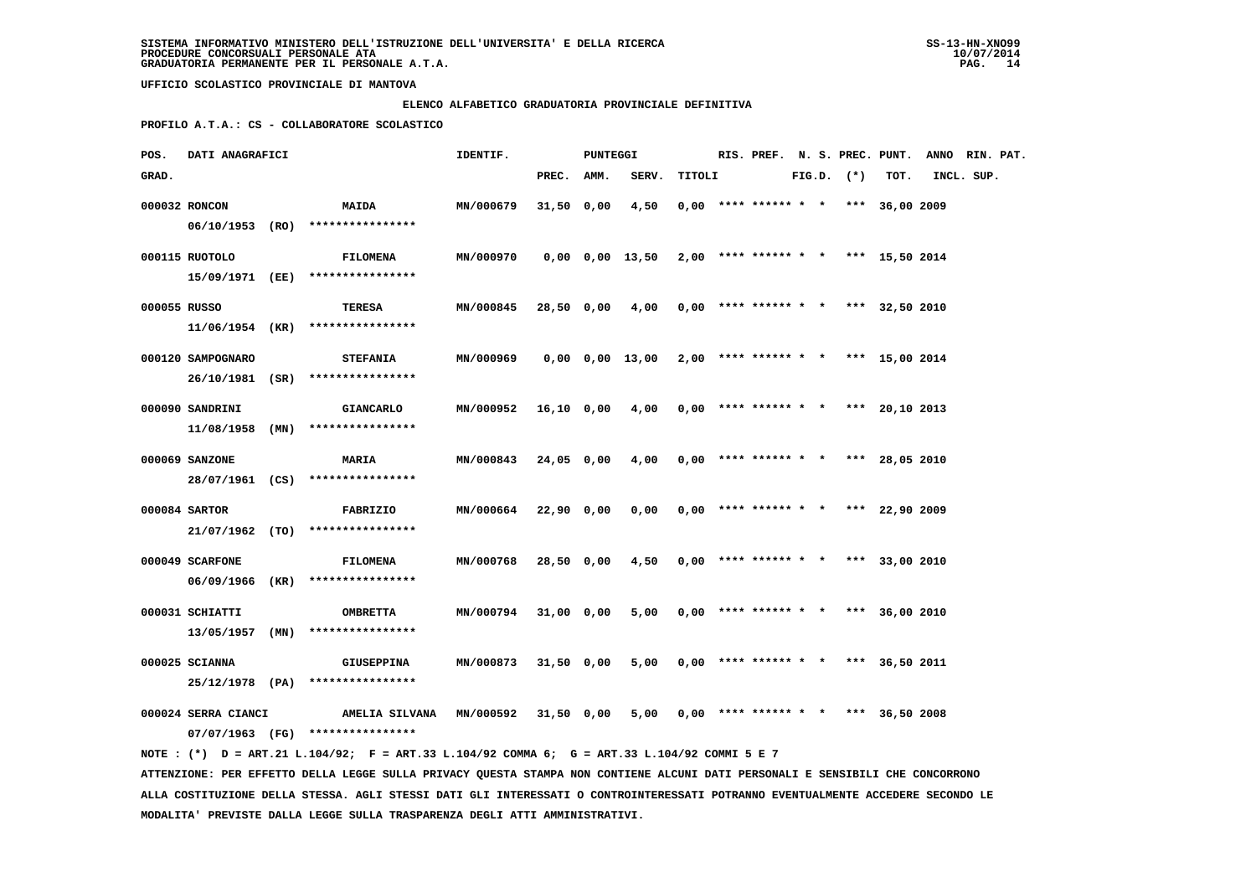### **ELENCO ALFABETICO GRADUATORIA PROVINCIALE DEFINITIVA**

 **PROFILO A.T.A.: CS - COLLABORATORE SCOLASTICO**

| POS.         | <b>DATI ANAGRAFICI</b> |  |                                                                                             | IDENTIF.<br>PUNTEGGI                                          |            |  |                                                           |        |  |  |                | RIS. PREF. N. S. PREC. PUNT. ANNO RIN. PAT. |            |  |  |
|--------------|------------------------|--|---------------------------------------------------------------------------------------------|---------------------------------------------------------------|------------|--|-----------------------------------------------------------|--------|--|--|----------------|---------------------------------------------|------------|--|--|
| GRAD.        |                        |  |                                                                                             |                                                               | PREC. AMM. |  | SERV.                                                     | TITOLI |  |  | $FIG.D.$ $(*)$ | TOT.                                        | INCL. SUP. |  |  |
|              | 000032 RONCON          |  | <b>MAIDA</b>                                                                                | MN/000679                                                     | 31,50 0,00 |  | 4,50                                                      |        |  |  |                | $0,00$ **** ****** * * *** 36,00 2009       |            |  |  |
|              |                        |  | 06/10/1953 (RO) ****************                                                            |                                                               |            |  |                                                           |        |  |  |                |                                             |            |  |  |
|              | 000115 RUOTOLO         |  | FILOMENA                                                                                    | MN/000970                                                     |            |  | $0,00$ $0,00$ $13,50$ $2,00$ **** ****** * *** 15,50 2014 |        |  |  |                |                                             |            |  |  |
|              |                        |  | 15/09/1971 (EE) ****************                                                            |                                                               |            |  |                                                           |        |  |  |                |                                             |            |  |  |
|              |                        |  |                                                                                             |                                                               |            |  |                                                           |        |  |  |                |                                             |            |  |  |
| 000055 RUSSO |                        |  | TERESA                                                                                      | MN/000845                                                     |            |  | 28,50 0,00 4,00 0,00 **** ****** * * *** 32,50 2010       |        |  |  |                |                                             |            |  |  |
|              |                        |  | 11/06/1954 (KR) ****************                                                            |                                                               |            |  |                                                           |        |  |  |                |                                             |            |  |  |
|              | 000120 SAMPOGNARO      |  | <b>STEFANIA</b>                                                                             | MN/000969                                                     |            |  | $0,00$ $0,00$ $13,00$ $2,00$ **** ****** * *** 15,00 2014 |        |  |  |                |                                             |            |  |  |
|              |                        |  | 26/10/1981 (SR) ****************                                                            |                                                               |            |  |                                                           |        |  |  |                |                                             |            |  |  |
|              | 000090 SANDRINI        |  | <b>GIANCARLO</b>                                                                            | MN/000952 16,10 0,00 4,00 0,00 **** ****** * * *** 20,10 2013 |            |  |                                                           |        |  |  |                |                                             |            |  |  |
|              |                        |  | $11/08/1958$ (MN) ****************                                                          |                                                               |            |  |                                                           |        |  |  |                |                                             |            |  |  |
|              |                        |  |                                                                                             |                                                               |            |  |                                                           |        |  |  |                |                                             |            |  |  |
|              | 000069 SANZONE         |  | <b>MARIA</b>                                                                                | MN/000843                                                     | 24,05 0,00 |  | $4,00$ 0,00 **** ****** * * *** 28,05 2010                |        |  |  |                |                                             |            |  |  |
|              |                        |  | 28/07/1961 (CS) ****************                                                            |                                                               |            |  |                                                           |        |  |  |                |                                             |            |  |  |
|              | 000084 SARTOR          |  | <b>FABRIZIO</b>                                                                             | MN/000664 22,90 0,00                                          |            |  | $0,00$ $0,00$ **** ****** * * *** 22,90 2009              |        |  |  |                |                                             |            |  |  |
|              |                        |  | 21/07/1962 (TO) ****************                                                            |                                                               |            |  |                                                           |        |  |  |                |                                             |            |  |  |
|              | 000049 SCARFONE        |  | <b>FILOMENA</b>                                                                             | <b>MN/000768</b>                                              | 28,50 0,00 |  | $4,50$ 0,00 **** ****** * * *** 33,00 2010                |        |  |  |                |                                             |            |  |  |
|              |                        |  | 06/09/1966 (KR) ****************                                                            |                                                               |            |  |                                                           |        |  |  |                |                                             |            |  |  |
|              | 000031 SCHIATTI        |  |                                                                                             |                                                               |            |  |                                                           |        |  |  |                |                                             |            |  |  |
|              |                        |  | <b>OMBRETTA</b><br>$13/05/1957$ (MN) *****************                                      | MN/000794 31,00 0,00                                          |            |  | 5,00 0,00 **** ****** * * *** 36,00 2010                  |        |  |  |                |                                             |            |  |  |
|              |                        |  |                                                                                             |                                                               |            |  |                                                           |        |  |  |                |                                             |            |  |  |
|              | 000025 SCIANNA         |  | GIUSEPPINA                                                                                  | <b>MN/000873</b>                                              | 31,50 0,00 |  | 5,00                                                      |        |  |  |                | $0,00$ **** ****** * * *** 36,50 2011       |            |  |  |
|              |                        |  | 25/12/1978 (PA) ****************                                                            |                                                               |            |  |                                                           |        |  |  |                |                                             |            |  |  |
|              | 000024 SERRA CIANCI    |  | AMELIA SILVANA MN/000592 31,50 0,00                                                         |                                                               |            |  | 5,00                                                      |        |  |  |                | $0,00$ **** ****** * * *** 36,50 2008       |            |  |  |
|              |                        |  | 07/07/1963 (FG) ****************                                                            |                                                               |            |  |                                                           |        |  |  |                |                                             |            |  |  |
|              |                        |  | NOTE: (*) D = ART.21 L.104/92; F = ART.33 L.104/92 COMMA 6; G = ART.33 L.104/92 COMMI 5 E 7 |                                                               |            |  |                                                           |        |  |  |                |                                             |            |  |  |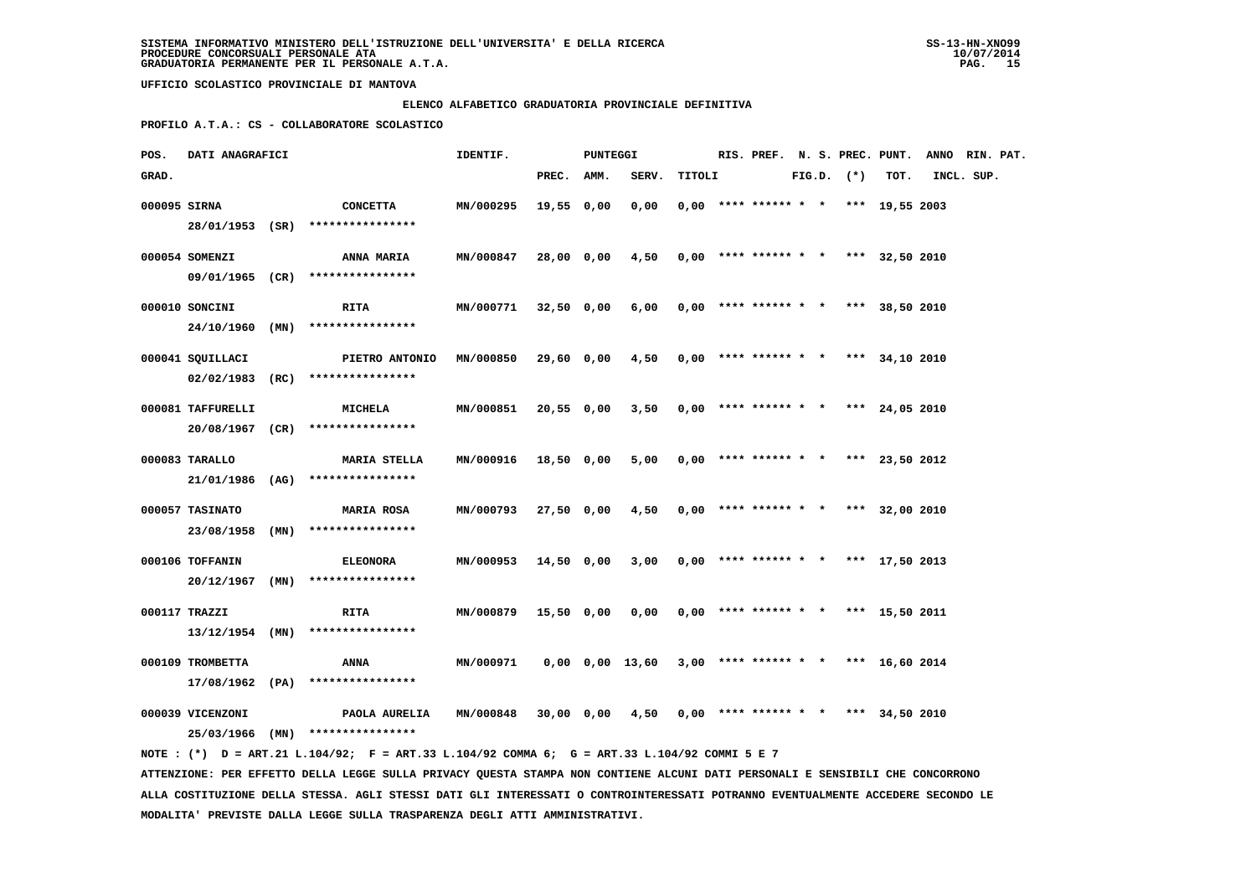### **ELENCO ALFABETICO GRADUATORIA PROVINCIALE DEFINITIVA**

 **PROFILO A.T.A.: CS - COLLABORATORE SCOLASTICO**

| POS.         | DATI ANAGRAFICI   |  |                                                                                             | IDENTIF.         |            |  | <b>PUNTEGGI</b> |        |  |                                       |  | RIS. PREF. N. S. PREC. PUNT. ANNO RIN. PAT. |      |            |  |  |
|--------------|-------------------|--|---------------------------------------------------------------------------------------------|------------------|------------|--|-----------------|--------|--|---------------------------------------|--|---------------------------------------------|------|------------|--|--|
| GRAD.        |                   |  |                                                                                             |                  | PREC. AMM. |  | SERV.           | TITOLI |  |                                       |  | $FIG.D.$ $(*)$                              | TOT. | INCL. SUP. |  |  |
| 000095 SIRNA |                   |  | CONCETTA                                                                                    | MN/000295        | 19,55 0,00 |  | 0,00            |        |  | $0,00$ **** ****** * * *** 19,55 2003 |  |                                             |      |            |  |  |
|              |                   |  | 28/01/1953 (SR) ****************                                                            |                  |            |  |                 |        |  |                                       |  |                                             |      |            |  |  |
|              | 000054 SOMENZI    |  | <b>ANNA MARIA</b>                                                                           | MN/000847        | 28,00 0,00 |  | 4,50            |        |  | $0,00$ **** ****** * * *** 32,50 2010 |  |                                             |      |            |  |  |
|              |                   |  | 09/01/1965 (CR) ****************                                                            |                  |            |  |                 |        |  |                                       |  |                                             |      |            |  |  |
|              | 000010 SONCINI    |  | <b>RITA</b>                                                                                 | <b>MN/000771</b> | 32,50 0,00 |  | 6,00            |        |  | $0,00$ **** ****** * * *** 38,50 2010 |  |                                             |      |            |  |  |
|              |                   |  | 24/10/1960 (MN) ****************                                                            |                  |            |  |                 |        |  |                                       |  |                                             |      |            |  |  |
|              | 000041 SQUILLACI  |  | <b>PIETRO ANTONIO</b>                                                                       | <b>MN/000850</b> |            |  | 29,60 0,00 4,50 |        |  | $0,00$ **** ****** * * *** 34,10 2010 |  |                                             |      |            |  |  |
|              |                   |  | $02/02/1983$ (RC) ****************                                                          |                  |            |  |                 |        |  |                                       |  |                                             |      |            |  |  |
|              | 000081 TAFFURELLI |  | <b>MICHELA</b>                                                                              | MN/000851        | 20,55 0,00 |  | 3,50            |        |  | $0,00$ **** ****** * * *** 24,05 2010 |  |                                             |      |            |  |  |
|              |                   |  | 20/08/1967 (CR) ****************                                                            |                  |            |  |                 |        |  |                                       |  |                                             |      |            |  |  |
|              | 000083 TARALLO    |  | <b>MARIA STELLA</b>                                                                         | <b>MN/000916</b> | 18,50 0,00 |  | 5,00            |        |  | $0.00$ **** ****** * * *** 23.50 2012 |  |                                             |      |            |  |  |
|              |                   |  | $21/01/1986$ (AG) *****************                                                         |                  |            |  |                 |        |  |                                       |  |                                             |      |            |  |  |
|              | 000057 TASINATO   |  | <b>MARIA ROSA</b>                                                                           | MN/000793        | 27,50 0,00 |  | 4,50            |        |  | $0,00$ **** ****** * * *** 32,00 2010 |  |                                             |      |            |  |  |
|              |                   |  | 23/08/1958 (MN) ****************                                                            |                  |            |  |                 |        |  |                                       |  |                                             |      |            |  |  |
|              | 000106 TOFFANIN   |  | <b>ELEONORA</b>                                                                             | MN/000953        | 14,50 0,00 |  | 3,00            |        |  | $0,00$ **** ****** * * *** 17,50 2013 |  |                                             |      |            |  |  |
|              |                   |  | $20/12/1967$ (MN) *****************                                                         |                  |            |  |                 |        |  |                                       |  |                                             |      |            |  |  |
|              | 000117 TRAZZI     |  | <b>RITA</b>                                                                                 | MN/000879        | 15,50 0,00 |  | 0,00            |        |  | $0.00$ **** ****** * * *** 15,50 2011 |  |                                             |      |            |  |  |
|              |                   |  | 13/12/1954 (MN) ****************                                                            |                  |            |  |                 |        |  |                                       |  |                                             |      |            |  |  |
|              | 000109 TROMBETTA  |  | <b>ANNA</b>                                                                                 | MN/000971        |            |  | 0,00 0,00 13,60 |        |  | $3,00$ **** ****** * * *** 16,60 2014 |  |                                             |      |            |  |  |
|              |                   |  | 17/08/1962 (PA) ****************                                                            |                  |            |  |                 |        |  |                                       |  |                                             |      |            |  |  |
|              | 000039 VICENZONI  |  | PAOLA AURELIA                                                                               | MN/000848        |            |  | 30,00 0,00 4,50 |        |  | $0,00$ **** ****** * * *** 34,50 2010 |  |                                             |      |            |  |  |
|              |                   |  | 25/03/1966 (MN) ****************                                                            |                  |            |  |                 |        |  |                                       |  |                                             |      |            |  |  |
|              |                   |  | NOTE: (*) D = ART.21 L.104/92; F = ART.33 L.104/92 COMMA 6; G = ART.33 L.104/92 COMMI 5 E 7 |                  |            |  |                 |        |  |                                       |  |                                             |      |            |  |  |